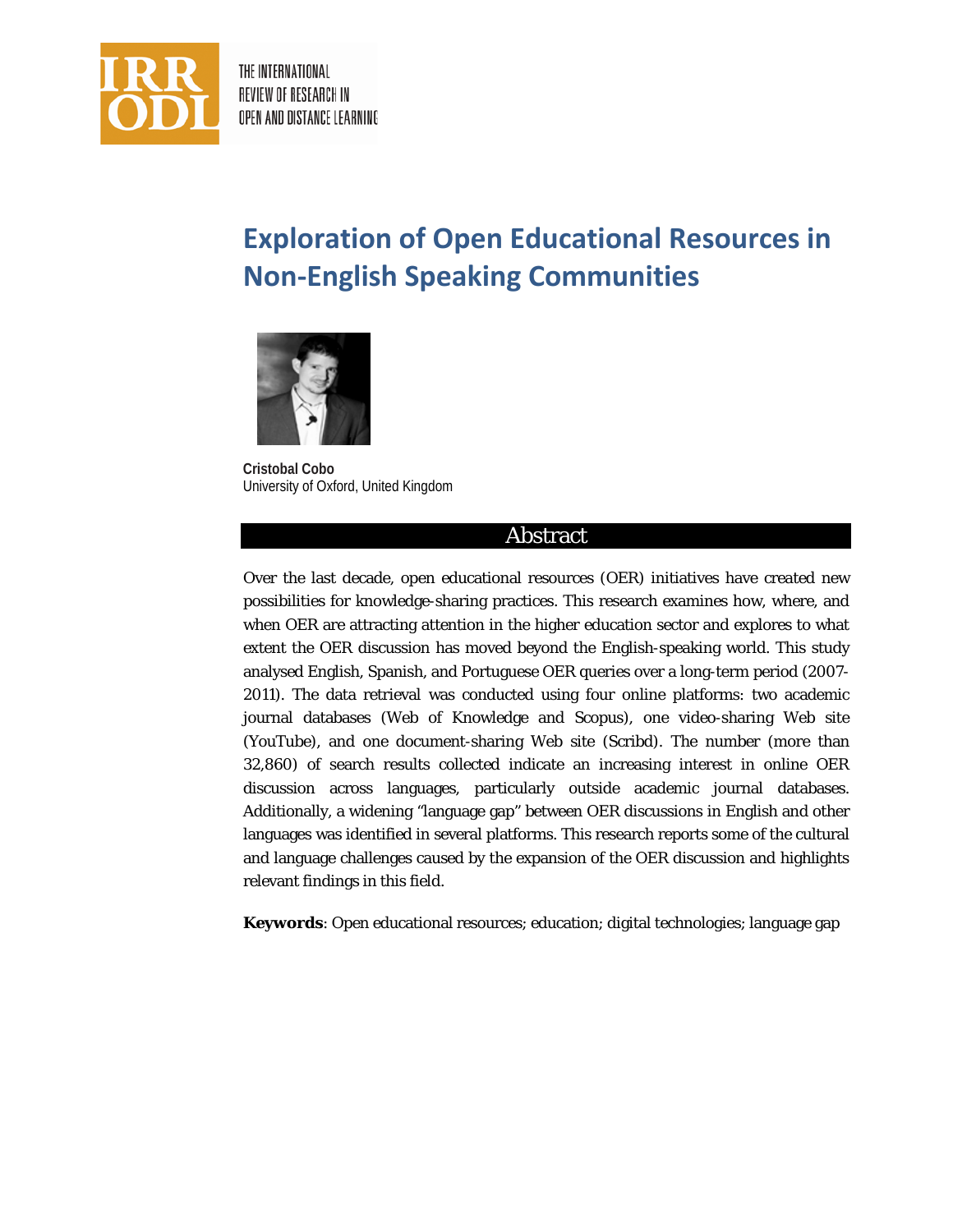

THE INTERNATIONAL REVIEW OF RESEARCH IN OPEN AND DISTANCE LEARNING

# **Exploration of Open Educational Resources in Non-English Speaking Communities**



**Cristobal Cobo** University of Oxford, United Kingdom

### Abstract

Over the last decade, open educational resources (OER) initiatives have created new possibilities for knowledge-sharing practices. This research examines how, where, and when OER are attracting attention in the higher education sector and explores to what extent the OER discussion has moved beyond the English-speaking world. This study analysed English, Spanish, and Portuguese OER queries over a long-term period (2007- 2011). The data retrieval was conducted using four online platforms: two academic journal databases (Web of Knowledge and Scopus), one video-sharing Web site (YouTube), and one document-sharing Web site (Scribd). The number (more than 32,860) of search results collected indicate an increasing interest in online OER discussion across languages, particularly outside academic journal databases. Additionally, a widening "language gap" between OER discussions in English and other languages was identified in several platforms. This research reports some of the cultural and language challenges caused by the expansion of the OER discussion and highlights relevant findings in this field.

**Keywords**: Open educational resources; education; digital technologies; language gap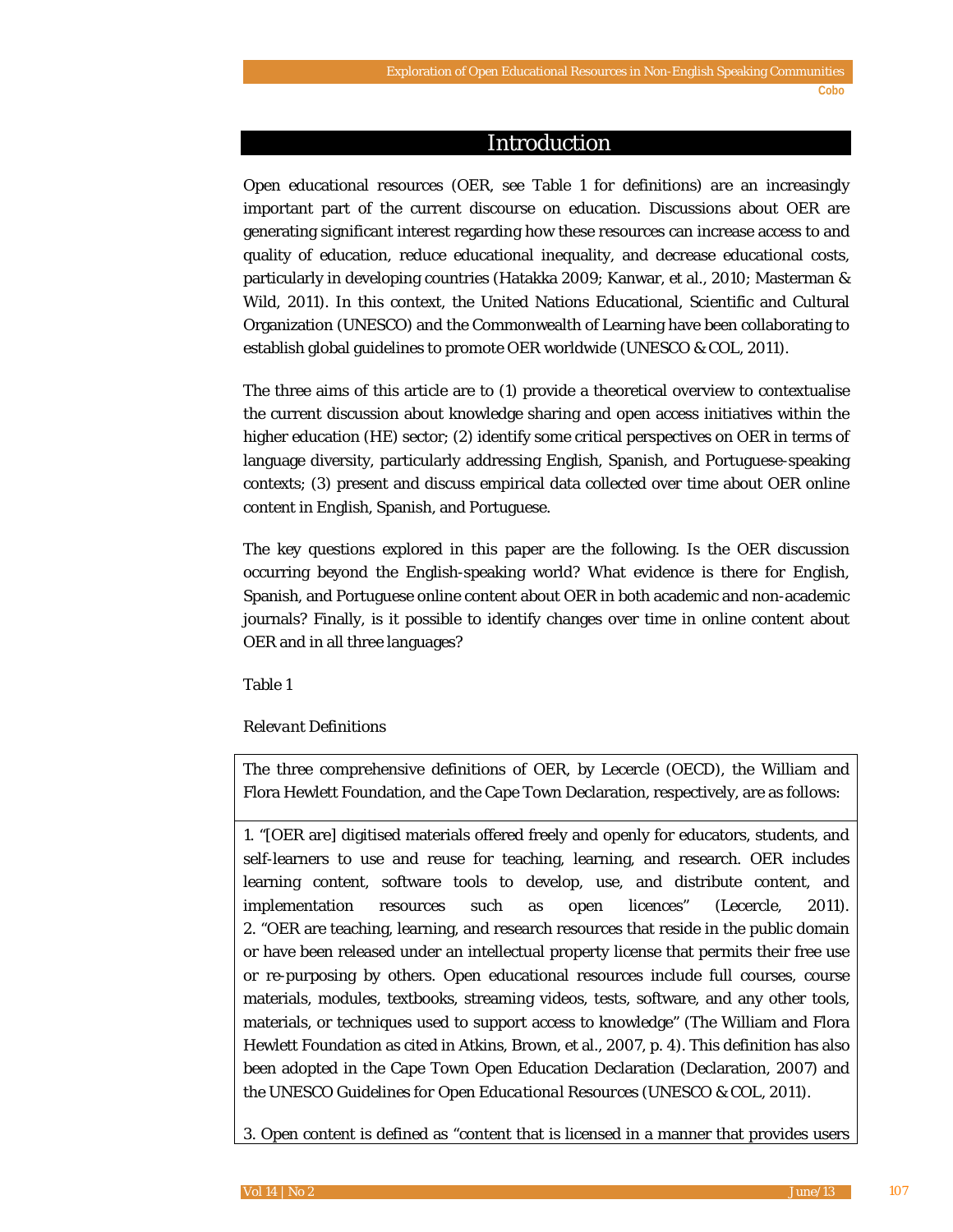#### Introduction

Open educational resources (OER, see Table 1 for definitions) are an increasingly important part of the current discourse on education. Discussions about OER are generating significant interest regarding how these resources can increase access to and quality of education, reduce educational inequality, and decrease educational costs, particularly in developing countries (Hatakka 2009; Kanwar, et al., 2010; Masterman & Wild, 2011). In this context, the United Nations Educational, Scientific and Cultural Organization (UNESCO) and the Commonwealth of Learning have been collaborating to establish global guidelines to promote OER worldwide (UNESCO & COL, 2011).

The three aims of this article are to (1) provide a theoretical overview to contextualise the current discussion about knowledge sharing and open access initiatives within the higher education (HE) sector; (2) identify some critical perspectives on OER in terms of language diversity, particularly addressing English, Spanish, and Portuguese-speaking contexts; (3) present and discuss empirical data collected over time about OER online content in English, Spanish, and Portuguese.

The key questions explored in this paper are the following. Is the OER discussion occurring beyond the English-speaking world? What evidence is there for English, Spanish, and Portuguese online content about OER in both academic and non-academic journals? Finally, is it possible to identify changes over time in online content about OER and in all three languages?

Table 1

#### *Relevant Definitions*

The three comprehensive definitions of OER, by Lecercle (OECD), the William and Flora Hewlett Foundation, and the Cape Town Declaration, respectively, are as follows:

1. "[OER are] digitised materials offered freely and openly for educators, students, and self-learners to use and reuse for teaching, learning, and research. OER includes learning content, software tools to develop, use, and distribute content, and implementation resources such as open licences" (Lecercle, 2011). 2. "OER are teaching, learning, and research resources that reside in the public domain or have been released under an intellectual property license that permits their free use or re-purposing by others. Open educational resources include full courses, course materials, modules, textbooks, streaming videos, tests, software, and any other tools, materials, or techniques used to support access to knowledge" (The William and Flora Hewlett Foundation as cited in Atkins, Brown, et al., 2007, p. 4). This definition has also been adopted in the Cape Town Open Education Declaration (Declaration, 2007) and the *UNESCO Guidelines for Open Educational Resources* (UNESCO & COL, 2011).

3. Open content is defined as "content that is licensed in a manner that provides users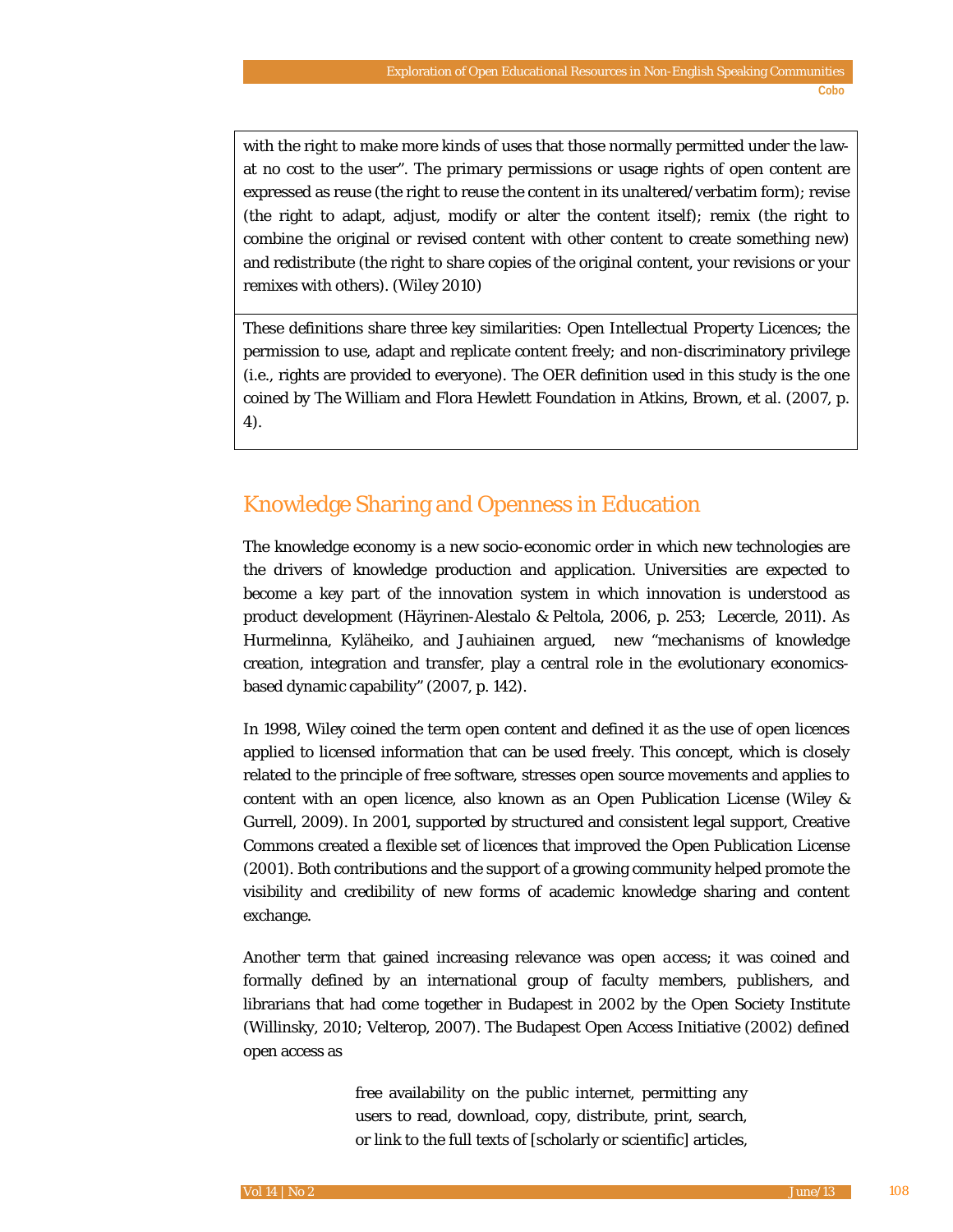with the right to make more kinds of uses that those normally permitted under the lawat no cost to the user". The primary permissions or usage rights of open content are expressed as reuse (the right to reuse the content in its unaltered/verbatim form); revise (the right to adapt, adjust, modify or alter the content itself); remix (the right to combine the original or revised content with other content to create something new) and redistribute (the right to share copies of the original content, your revisions or your remixes with others). (Wiley 2010)

These definitions share three key similarities: Open Intellectual Property Licences; the permission to use, adapt and replicate content freely; and non-discriminatory privilege (i.e., rights are provided to everyone). The OER definition used in this study is the one coined by The William and Flora Hewlett Foundation in Atkins, Brown, et al. (2007, p. 4).

# Knowledge Sharing and Openness in Education

The knowledge economy is a new socio-economic order in which new technologies are the drivers of knowledge production and application. Universities are expected to become a key part of the innovation system in which innovation is understood as product development (Häyrinen-Alestalo & Peltola, 2006, p. 253; Lecercle, 2011). As Hurmelinna, Kyläheiko, and Jauhiainen argued, new "mechanisms of knowledge creation, integration and transfer, play a central role in the evolutionary economicsbased dynamic capability" (2007, p. 142).

In 1998, Wiley coined the term *open content* and defined it as the use of open licences applied to licensed information that can be used freely. This concept, which is closely related to the principle of free software, stresses open source movements and applies to content with an open licence, also known as an Open Publication License (Wiley & Gurrell, 2009). In 2001, supported by structured and consistent legal support, Creative Commons created a flexible set of licences that improved the Open Publication License (2001). Both contributions and the support of a growing community helped promote the visibility and credibility of new forms of academic knowledge sharing and content exchange.

Another term that gained increasing relevance was *open access*; it was coined and formally defined by an international group of faculty members, publishers, and librarians that had come together in Budapest in 2002 by the Open Society Institute (Willinsky, 2010; Velterop, 2007). The Budapest Open Access Initiative (2002) defined open access as

> free availability on the public internet, permitting any users to read, download, copy, distribute, print, search, or link to the full texts of [scholarly or scientific] articles,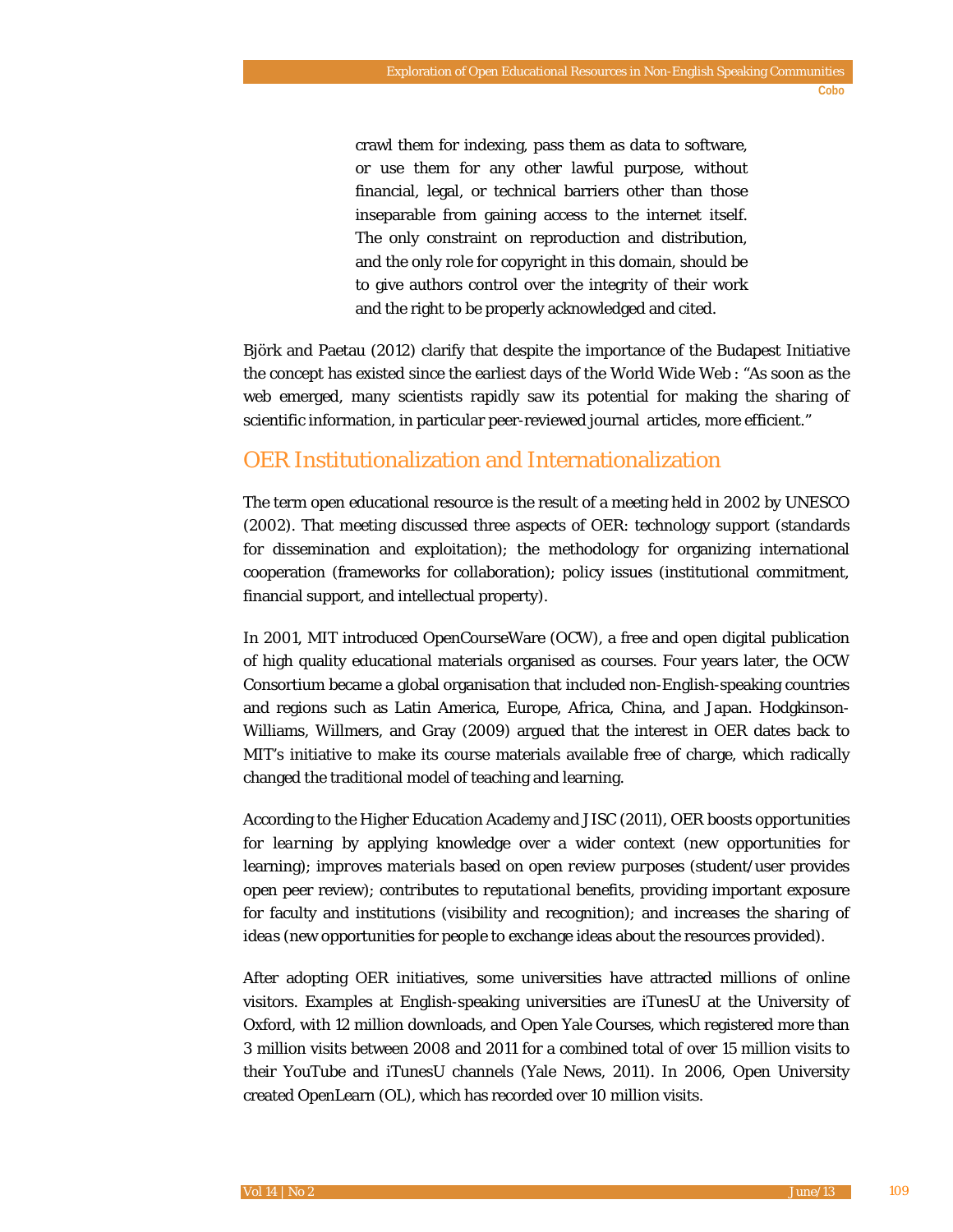crawl them for indexing, pass them as data to software, or use them for any other lawful purpose, without financial, legal, or technical barriers other than those inseparable from gaining access to the internet itself. The only constraint on reproduction and distribution, and the only role for copyright in this domain, should be to give authors control over the integrity of their work and the right to be properly acknowledged and cited.

Björk and Paetau (2012) clarify that despite the importance of the Budapest Initiative the concept has existed since the earliest days of the World Wide Web : "As soon as the web emerged, many scientists rapidly saw its potential for making the sharing of scientific information, in particular peer-reviewed journal articles, more efficient."

# OER Institutionalization and Internationalization

The term open educational resource is the result of a meeting held in 2002 by UNESCO (2002). That meeting discussed three aspects of OER: technology support (standards for dissemination and exploitation); the methodology for organizing international cooperation (frameworks for collaboration); policy issues (institutional commitment, financial support, and intellectual property).

In 2001, MIT introduced OpenCourseWare (OCW), a free and open digital publication of high quality educational materials organised as courses. Four years later, the OCW Consortium became a global organisation that included non-English-speaking countries and regions such as Latin America, Europe, Africa, China, and Japan. Hodgkinson-Williams, Willmers, and Gray (2009) argued that the interest in OER dates back to MIT's initiative to make its course materials available free of charge, which radically changed the traditional model of teaching and learning.

According to the Higher Education Academy and JISC (2011), OER *boosts opportunities for learning* by applying knowledge over a wider context (new opportunities for learning); *improves materials based on open review purposes* (student/user provides open peer review); *contributes to reputational benefits*, providing important exposure for faculty and institutions (visibility and recognition); and *increases the sharing of ideas* (new opportunities for people to exchange ideas about the resources provided).

After adopting OER initiatives, some universities have attracted millions of online visitors. Examples at English-speaking universities are iTunesU at the University of Oxford, with 12 million downloads, and Open Yale Courses, which registered more than 3 million visits between 2008 and 2011 for a combined total of over 15 million visits to their YouTube and iTunesU channels (Yale News, 2011). In 2006, Open University created OpenLearn (OL), which has recorded over 10 million visits.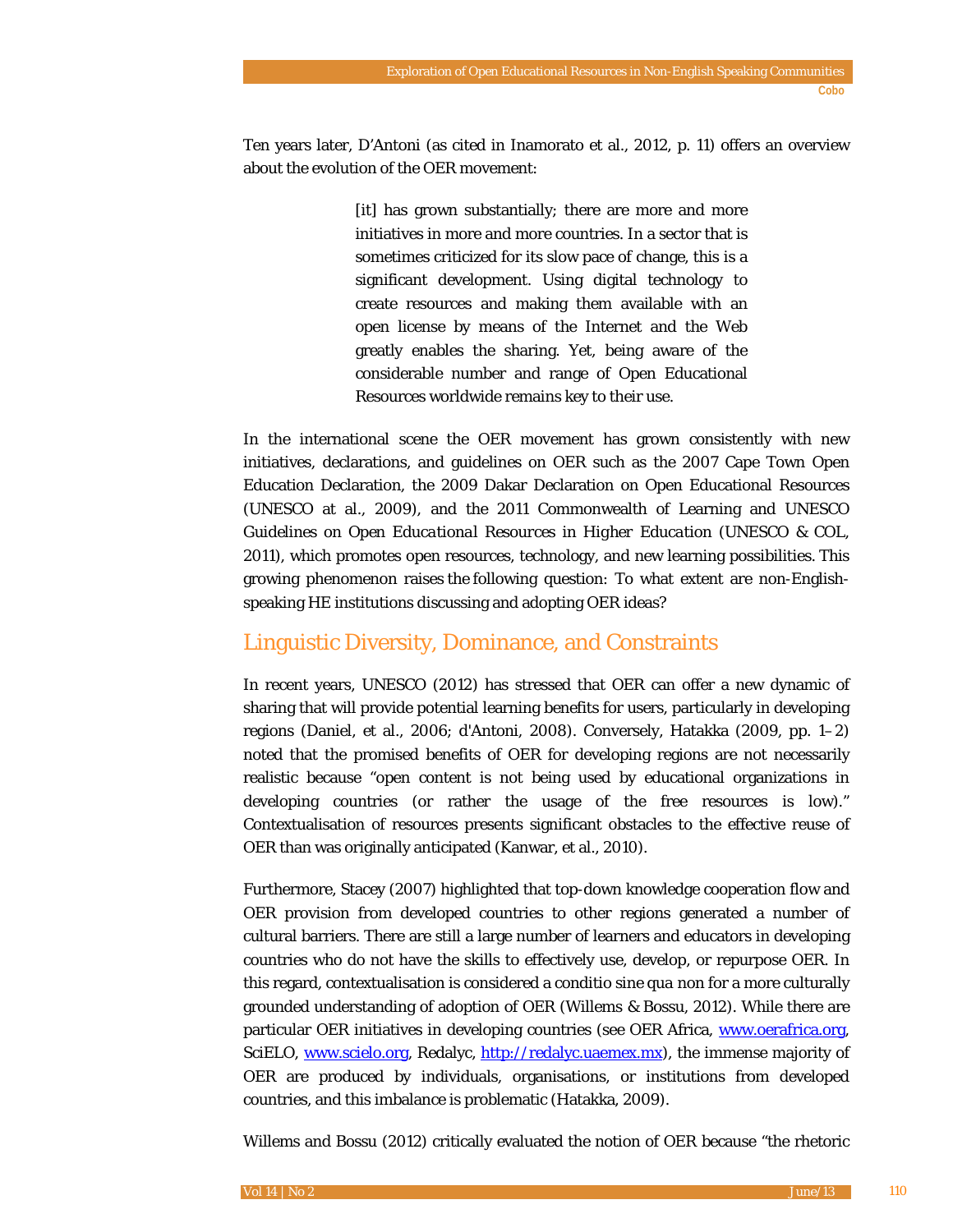Ten years later, D'Antoni (as cited in Inamorato et al., 2012, p. 11) offers an overview about the evolution of the OER movement:

> [it] has grown substantially; there are more and more initiatives in more and more countries. In a sector that is sometimes criticized for its slow pace of change, this is a significant development. Using digital technology to create resources and making them available with an open license by means of the Internet and the Web greatly enables the sharing. Yet, being aware of the considerable number and range of Open Educational Resources worldwide remains key to their use.

In the international scene the OER movement has grown consistently with new initiatives, declarations, and guidelines on OER such as the 2007 Cape Town Open Education Declaration, the 2009 Dakar Declaration on Open Educational Resources (UNESCO at al., 2009), and the 2011 Commonwealth of Learning and UNESCO *Guidelines on Open Educational Resources in Higher Education* (UNESCO & COL, 2011), which promotes open resources, technology, and new learning possibilities. This growing phenomenon raises the following question: To what extent are non-Englishspeaking HE institutions discussing and adopting OER ideas?

# Linguistic Diversity, Dominance, and Constraints

In recent years, UNESCO (2012) has stressed that OER can offer a new dynamic of sharing that will provide potential learning benefits for users, particularly in developing regions (Daniel, et al., 2006; d'Antoni, 2008). Conversely, Hatakka (2009, pp. 1–2) noted that the promised benefits of OER for developing regions are not necessarily realistic because "open content is not being used by educational organizations in developing countries (or rather the usage of the free resources is low)." Contextualisation of resources presents significant obstacles to the effective reuse of OER than was originally anticipated (Kanwar, et al., 2010).

Furthermore, Stacey (2007) highlighted that top-down knowledge cooperation flow and OER provision from developed countries to other regions generated a number of cultural barriers. There are still a large number of learners and educators in developing countries who do not have the skills to effectively use, develop, or repurpose OER. In this regard, contextualisation is considered a *conditio sine qua non* for a more culturally grounded understanding of adoption of OER (Willems & Bossu, 2012). While there are particular OER initiatives in developing countries (see OER Africa, [www.oerafrica.org,](http://www.oerafrica.org/) SciELO, [www.scielo.org,](http://www.scielo.org/) Redalyc, [http://redalyc.uaemex.mx\)](http://redalyc.uaemex.mx/), the immense majority of OER are produced by individuals, organisations, or institutions from developed countries, and this imbalance is problematic (Hatakka, 2009).

Willems and Bossu (2012) critically evaluated the notion of OER because "the rhetoric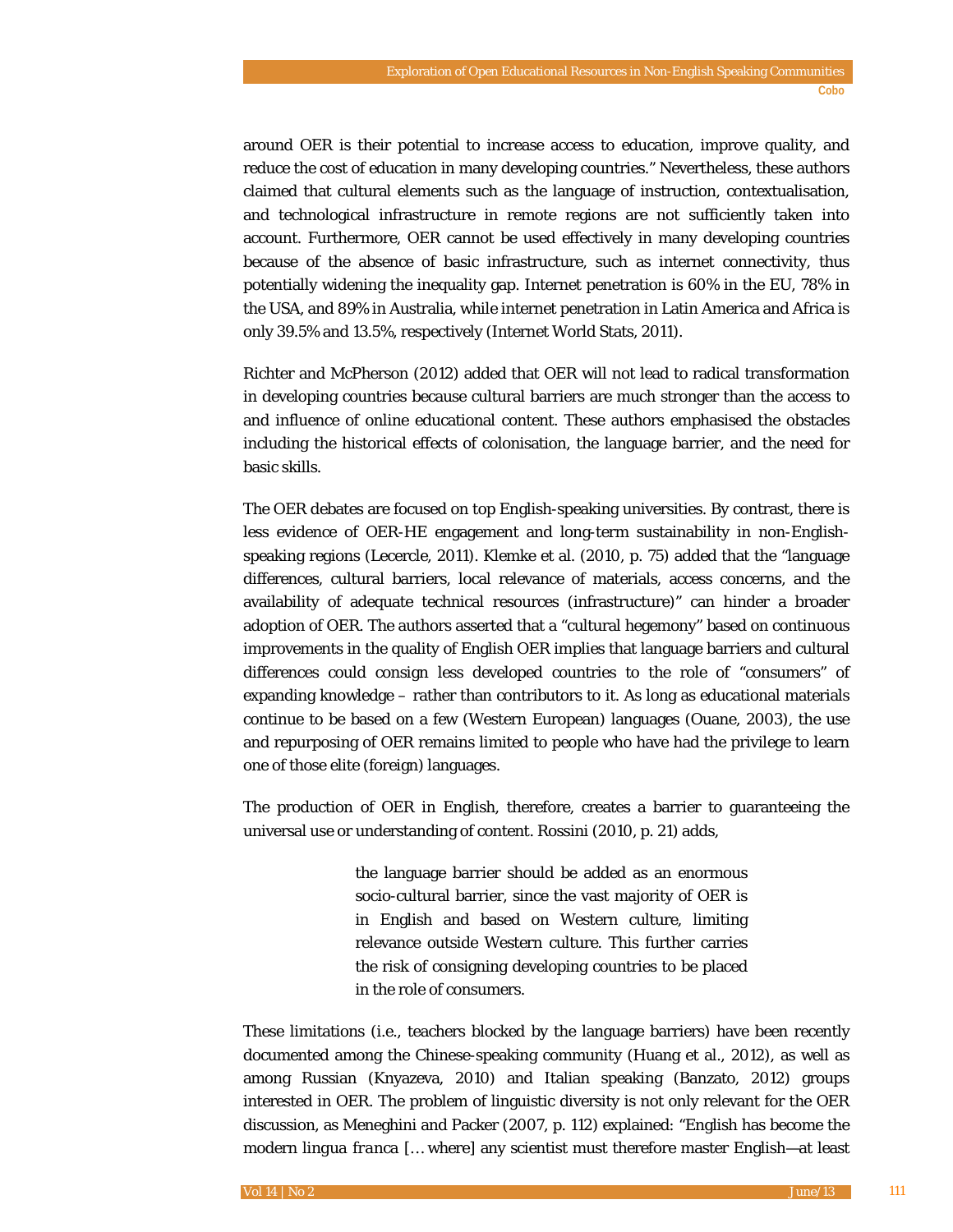around OER is their potential to increase access to education, improve quality, and reduce the cost of education in many developing countries." Nevertheless, these authors claimed that cultural elements such as the language of instruction, contextualisation, and technological infrastructure in remote regions are not sufficiently taken into account. Furthermore, OER cannot be used effectively in many developing countries because of the absence of basic infrastructure, such as internet connectivity, thus potentially widening the inequality gap. Internet penetration is 60% in the EU, 78% in the USA, and 89% in Australia, while internet penetration in Latin America and Africa is only 39.5% and 13.5%, respectively (Internet World Stats, 2011).

Richter and McPherson (2012) added that OER will not lead to radical transformation in developing countries because cultural barriers are much stronger than the access to and influence of online educational content. These authors emphasised the obstacles including the historical effects of colonisation, the language barrier, and the need for basic skills.

The OER debates are focused on top English-speaking universities. By contrast, there is less evidence of OER-HE engagement and long-term sustainability in non-Englishspeaking regions (Lecercle, 2011). Klemke et al. (2010, p. 75) added that the "language differences, cultural barriers, local relevance of materials, access concerns, and the availability of adequate technical resources (infrastructure)" can hinder a broader adoption of OER. The authors asserted that a "cultural hegemony" based on continuous improvements in the quality of English OER implies that language barriers and cultural differences could consign less developed countries to the role of "consumers" of expanding knowledge – rather than contributors to it. As long as educational materials continue to be based on a few (Western European) languages (Ouane, 2003), the use and repurposing of OER remains limited to people who have had the privilege to learn one of those elite (foreign) languages.

The production of OER in English, therefore, creates a barrier to guaranteeing the universal use or understanding of content. Rossini (2010, p. 21) adds,

> the language barrier should be added as an enormous socio-cultural barrier, since the vast majority of OER is in English and based on Western culture, limiting relevance outside Western culture. This further carries the risk of consigning developing countries to be placed in the role of consumers.

These limitations (i.e., teachers blocked by the language barriers) have been recently documented among the Chinese-speaking community (Huang et al., 2012), as well as among Russian (Knyazeva, 2010) and Italian speaking (Banzato, 2012) groups interested in OER. The problem of linguistic diversity is not only relevant for the OER discussion, as Meneghini and Packer (2007, p. 112) explained: "English has become the modern *lingua franca* [… where] any scientist must therefore master English—at least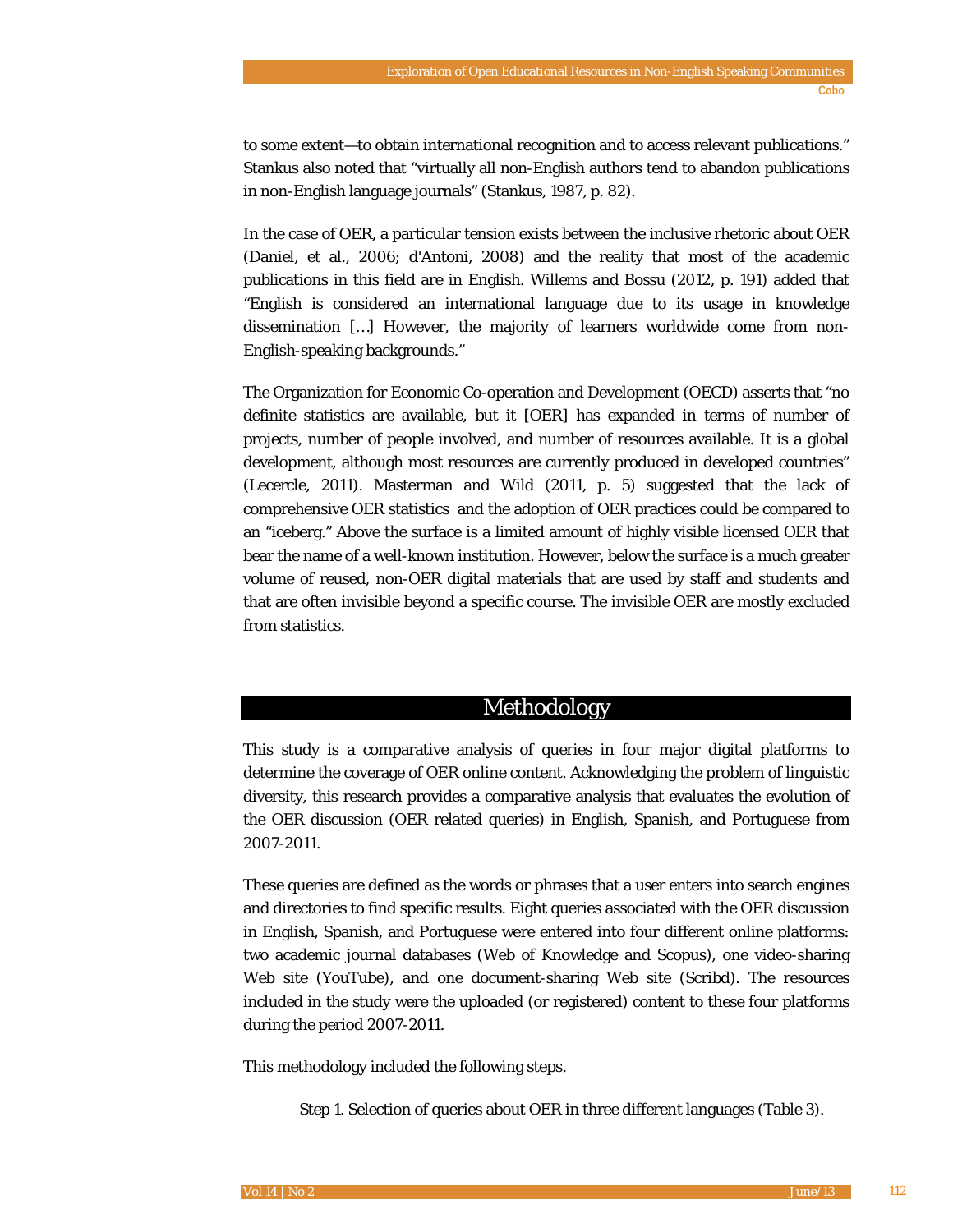to some extent—to obtain international recognition and to access relevant publications." Stankus also noted that "virtually all non-English authors tend to abandon publications in non-English language journals" (Stankus, 1987, p. 82).

In the case of OER, a particular tension exists between the inclusive rhetoric about OER (Daniel, et al., 2006; d'Antoni, 2008) and the reality that most of the academic publications in this field are in English. Willems and Bossu (2012, p. 191) added that "English is considered an international language due to its usage in knowledge dissemination […] However, the majority of learners worldwide come from non-English-speaking backgrounds."

The Organization for Economic Co-operation and Development (OECD) asserts that "no definite statistics are available, but it [OER] has expanded in terms of number of projects, number of people involved, and number of resources available. It is a global development, although most resources are currently produced in developed countries" (Lecercle, 2011). Masterman and Wild (2011, p. 5) suggested that the lack of comprehensive OER statistics and the adoption of OER practices could be compared to an "iceberg." Above the surface is a limited amount of highly visible licensed OER that bear the name of a well-known institution. However, below the surface is a much greater volume of reused, non-OER digital materials that are used by staff and students and that are often invisible beyond a specific course. The invisible OER are mostly excluded from statistics.

## Methodology

This study is a comparative analysis of queries in four major digital platforms to determine the coverage of OER online content. Acknowledging the problem of linguistic diversity, this research provides a comparative analysis that evaluates the evolution of the OER discussion (OER related queries) in English, Spanish, and Portuguese from 2007-2011.

These queries are defined as the words or phrases that a user enters into search engines and directories to find specific results. Eight queries associated with the OER discussion in English, Spanish, and Portuguese were entered into four different online platforms: two academic journal databases (Web of Knowledge and Scopus), one video-sharing Web site (YouTube), and one document-sharing Web site (Scribd). The resources included in the study were the uploaded (or registered) content to these four platforms during the period 2007-2011.

This methodology included the following steps.

*Step 1*. Selection of queries about OER in three different languages (Table 3).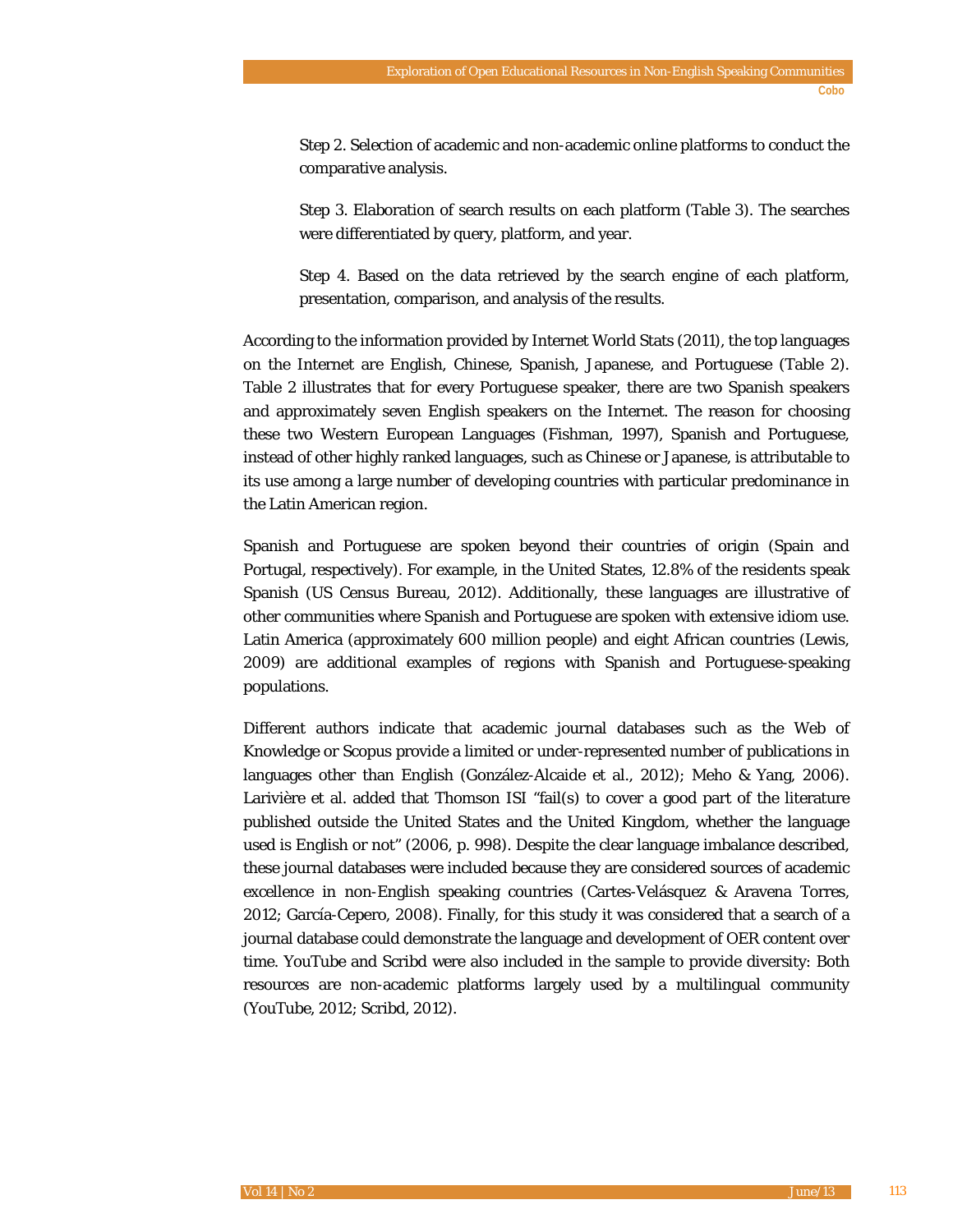*Step 2*. Selection of academic and non-academic online platforms to conduct the comparative analysis.

*Step 3*. Elaboration of search results on each platform (Table 3). The searches were differentiated by query, platform, and year.

*Step 4*. Based on the data retrieved by the search engine of each platform, presentation, comparison, and analysis of the results.

According to the information provided by Internet World Stats (2011), the top languages on the Internet are English, Chinese, Spanish, Japanese, and Portuguese (Table 2). Table 2 illustrates that for every Portuguese speaker, there are two Spanish speakers and approximately seven English speakers on the Internet. The reason for choosing these two Western European Languages (Fishman, 1997), Spanish and Portuguese, instead of other highly ranked languages, such as Chinese or Japanese, is attributable to its use among a large number of developing countries with particular predominance in the Latin American region.

Spanish and Portuguese are spoken beyond their countries of origin (Spain and Portugal, respectively). For example, in the United States, 12.8% of the residents speak Spanish (US Census Bureau, 2012). Additionally, these languages are illustrative of other communities where Spanish and Portuguese are spoken with extensive idiom use. Latin America (approximately 600 million people) and eight African countries (Lewis, 2009) are additional examples of regions with Spanish and Portuguese-speaking populations.

Different authors indicate that academic journal databases such as the Web of Knowledge or Scopus provide a limited or under-represented number of publications in languages other than English (González-Alcaide et al., 2012); Meho & Yang, 2006). Larivière et al. added that Thomson ISI "fail(s) to cover a good part of the literature published outside the United States and the United Kingdom, whether the language used is English or not" (2006, p. 998). Despite the clear language imbalance described, these journal databases were included because they are considered sources of academic excellence in non-English speaking countries (Cartes-Velásquez & Aravena Torres, 2012; García-Cepero, 2008). Finally, for this study it was considered that a search of a journal database could demonstrate the language and development of OER content over time. YouTube and Scribd were also included in the sample to provide diversity: Both resources are non-academic platforms largely used by a multilingual community (YouTube, 2012; Scribd, 2012).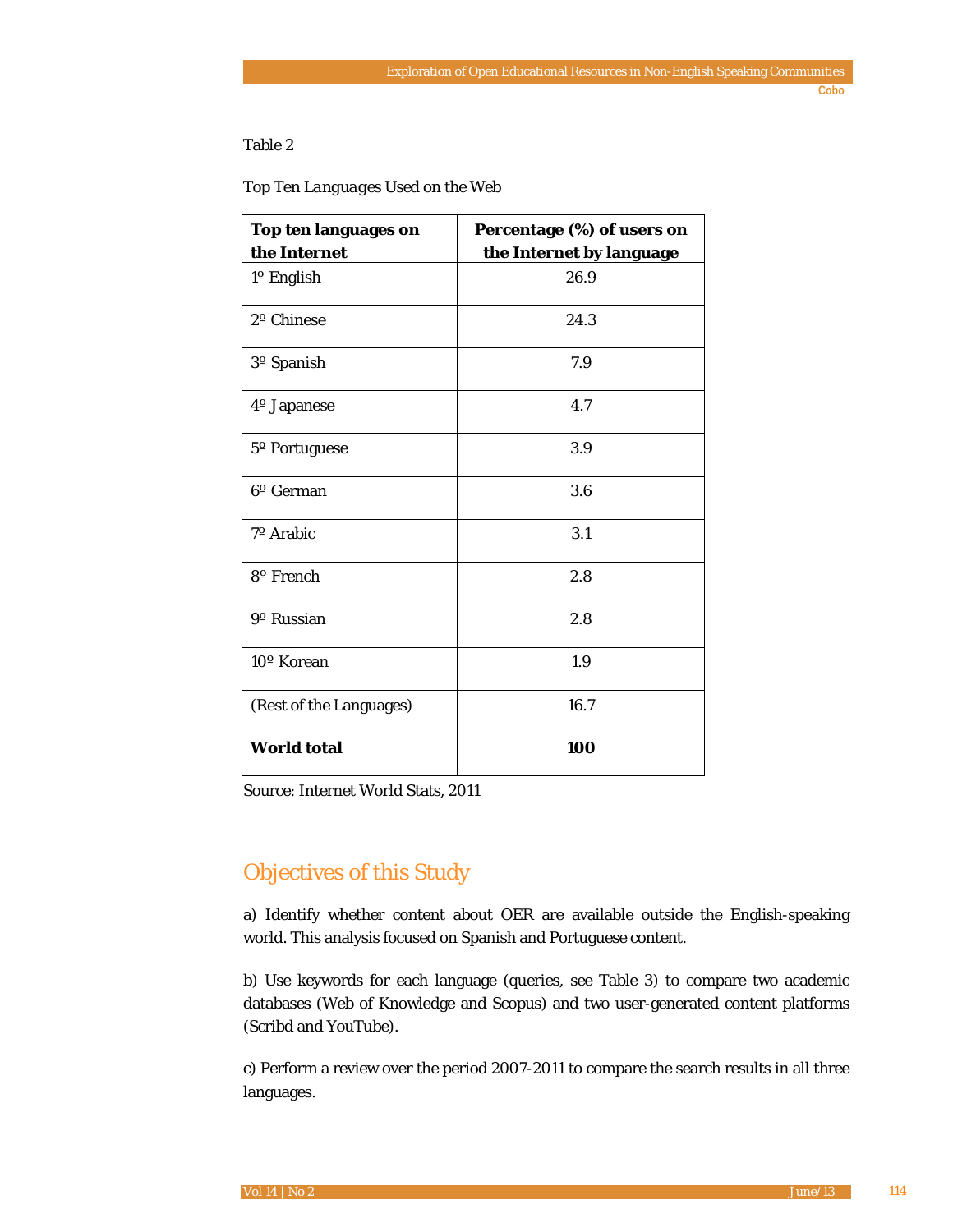#### Table 2

| Top Ten Languages Used on the Web |  |
|-----------------------------------|--|
|-----------------------------------|--|

| Top ten languages on    | Percentage (%) of users on |  |  |  |  |
|-------------------------|----------------------------|--|--|--|--|
| the Internet            | the Internet by language   |  |  |  |  |
| 1º English              | 26.9                       |  |  |  |  |
| 2º Chinese              | 24.3                       |  |  |  |  |
| 3 <sup>o</sup> Spanish  | 7.9                        |  |  |  |  |
| 4º Japanese             | 4.7                        |  |  |  |  |
| 5° Portuguese           | 3.9                        |  |  |  |  |
| 6 <sup>o</sup> German   | 3.6                        |  |  |  |  |
| 7º Arabic               | 3.1                        |  |  |  |  |
| 8 <sup>o</sup> French   | 2.8                        |  |  |  |  |
| 9 <sup>o</sup> Russian  | 2.8                        |  |  |  |  |
| 10° Korean              | 1.9                        |  |  |  |  |
| (Rest of the Languages) | 16.7                       |  |  |  |  |
| <b>World total</b>      | 100                        |  |  |  |  |

Source: Internet World Stats, 2011

# Objectives of this Study

a) Identify whether content about OER are available outside the English-speaking world. This analysis focused on Spanish and Portuguese content.

b) Use keywords for each language (queries, see Table 3) to compare two academic databases (Web of Knowledge and Scopus) and two user-generated content platforms (Scribd and YouTube).

c) Perform a review over the period 2007-2011 to compare the search results in all three languages.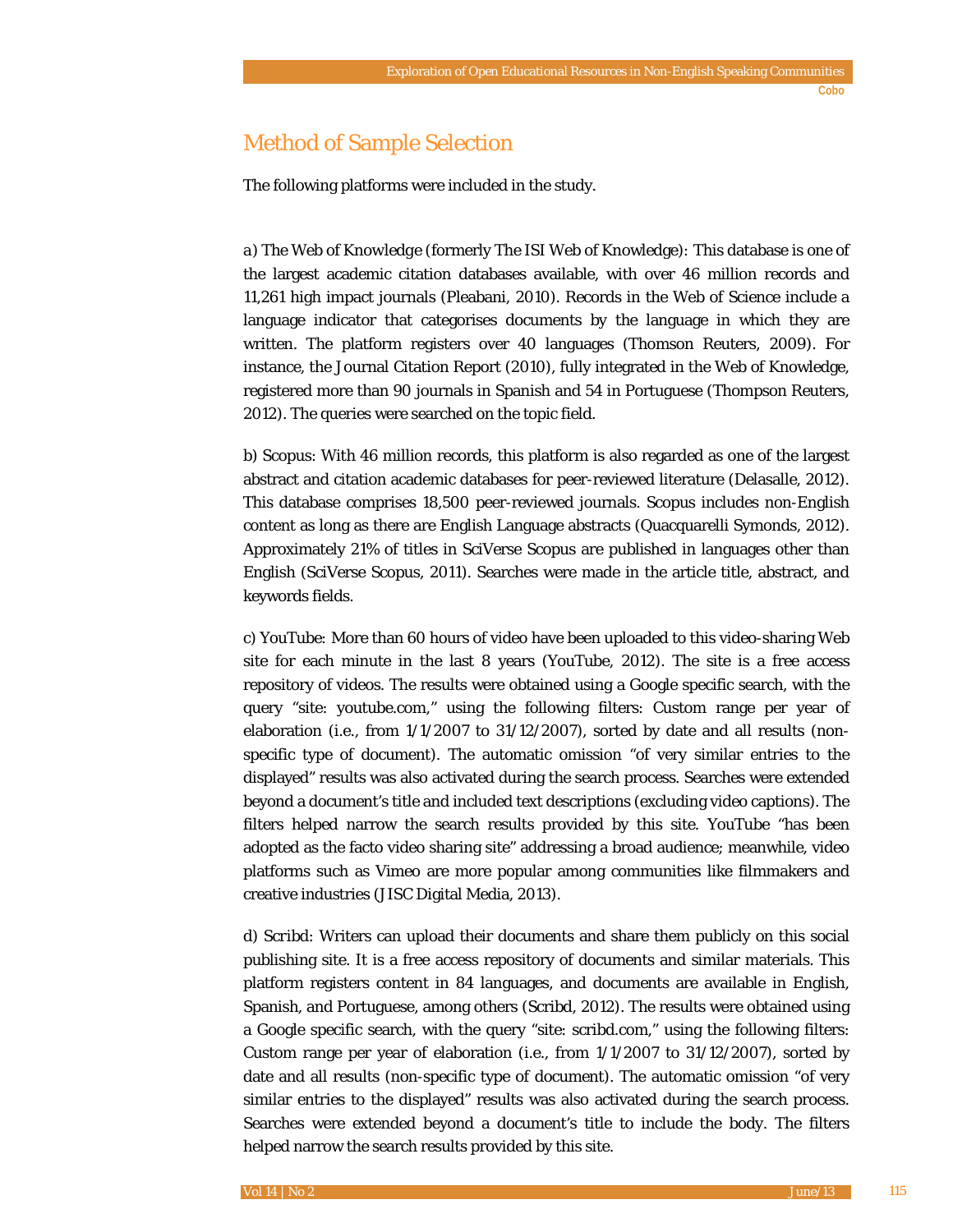# Method of Sample Selection

The following platforms were included in the study.

*a) The Web of Knowledge (*formerly The ISI Web of Knowledge*):* This database is one of the largest academic citation databases available, with over 46 million records and 11,261 high impact journals (Pleabani, 2010). Records in the Web of Science include a language indicator that categorises documents by the language in which they are written. The platform registers over 40 languages (Thomson Reuters, 2009). For instance, the Journal Citation Report (2010), fully integrated in the Web of Knowledge, registered more than 90 journals in Spanish and 54 in Portuguese (Thompson Reuters, 2012). The queries were searched on the topic field.

*b) Scopus*: With 46 million records, this platform is also regarded as one of the largest abstract and citation academic databases for peer-reviewed literature (Delasalle, 2012). This database comprises 18,500 peer-reviewed journals. Scopus includes non-English content as long as there are English Language abstracts (Quacquarelli Symonds, 2012). Approximately 21% of titles in SciVerse Scopus are published in languages other than English (SciVerse Scopus, 2011). Searches were made in the article title, abstract, and keywords fields.

*c) YouTube:* More than 60 hours of video have been uploaded to this video-sharing Web site for each minute in the last 8 years (YouTube, 2012). The site is a free access repository of videos. The results were obtained using a Google specific search, with the query "site: youtube.com," using the following filters: Custom range per year of elaboration (i.e., from  $1/1/2007$  to  $31/12/2007$ ), sorted by date and all results (nonspecific type of document). The automatic omission "of very similar entries to the displayed" results was also activated during the search process. Searches were extended beyond a document's title and included text descriptions (excluding video captions). The filters helped narrow the search results provided by this site. YouTube "has been adopted as the facto video sharing site" addressing a broad audience; meanwhile, video platforms such as Vimeo are more popular among communities like filmmakers and creative industries (JISC Digital Media, 2013).

*d) Scribd*: Writers can upload their documents and share them publicly on this social publishing site. It is a free access repository of documents and similar materials. This platform registers content in 84 languages, and documents are available in English, Spanish, and Portuguese, among others (Scribd, 2012). The results were obtained using a Google specific search, with the query "site: scribd.com," using the following filters: Custom range per year of elaboration (i.e., from  $1/1/2007$  to  $31/12/2007$ ), sorted by date and all results (non-specific type of document). The automatic omission "of very similar entries to the displayed" results was also activated during the search process. Searches were extended beyond a document's title to include the body. The filters helped narrow the search results provided by this site.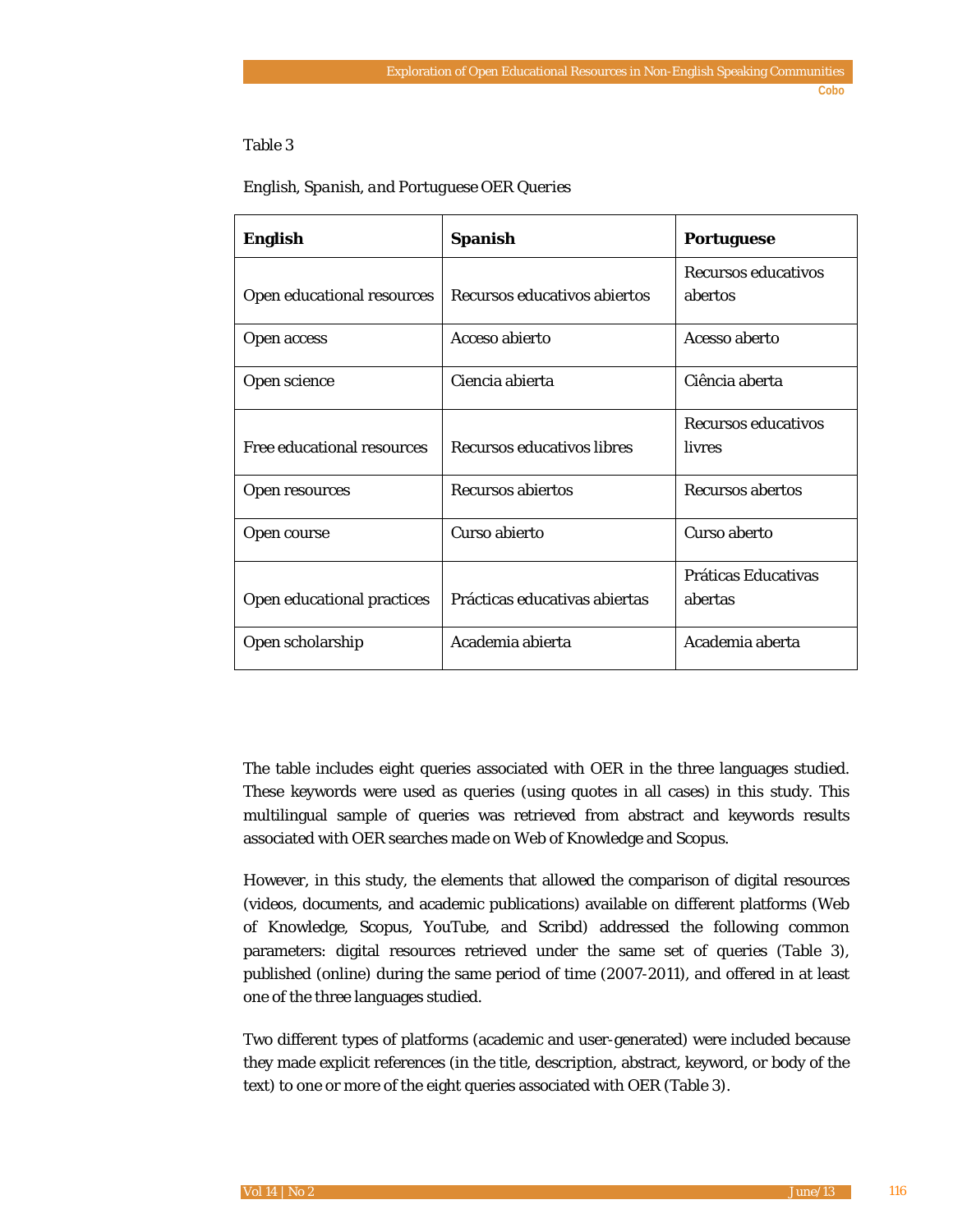#### Table 3

| <b>English</b>             | <b>Spanish</b>                | <b>Portuguese</b>                    |
|----------------------------|-------------------------------|--------------------------------------|
| Open educational resources | Recursos educativos abiertos  | Recursos educativos<br>abertos       |
| Open access                | Acceso abierto                | Acesso aberto                        |
| Open science               | Ciencia abierta               | Ciência aberta                       |
| Free educational resources | Recursos educativos libres    | <b>Recursos educativos</b><br>livres |
| Open resources             | <b>Recursos abiertos</b>      | <b>Recursos abertos</b>              |
| Open course                | Curso abierto                 | Curso aberto                         |
| Open educational practices | Prácticas educativas abiertas | Práticas Educativas<br>abertas       |
| Open scholarship           | Academia abierta              | Academia aberta                      |

#### *English, Spanish, and Portuguese OER Queries*

The table includes eight queries associated with OER in the three languages studied. These keywords were used as queries (using quotes in all cases) in this study. This multilingual sample of queries was retrieved from abstract and keywords results associated with OER searches made on Web of Knowledge and Scopus.

However, in this study, the elements that allowed the comparison of digital resources (videos, documents, and academic publications) available on different platforms (Web of Knowledge, Scopus, YouTube, and Scribd) addressed the following common parameters: digital resources retrieved under the same set of queries (Table 3), published (online) during the same period of time (2007-2011), and offered in at least one of the three languages studied.

Two different types of platforms (academic and user-generated) were included because they made explicit references (in the title, description, abstract, keyword, or body of the text) to one or more of the eight queries associated with OER (Table 3).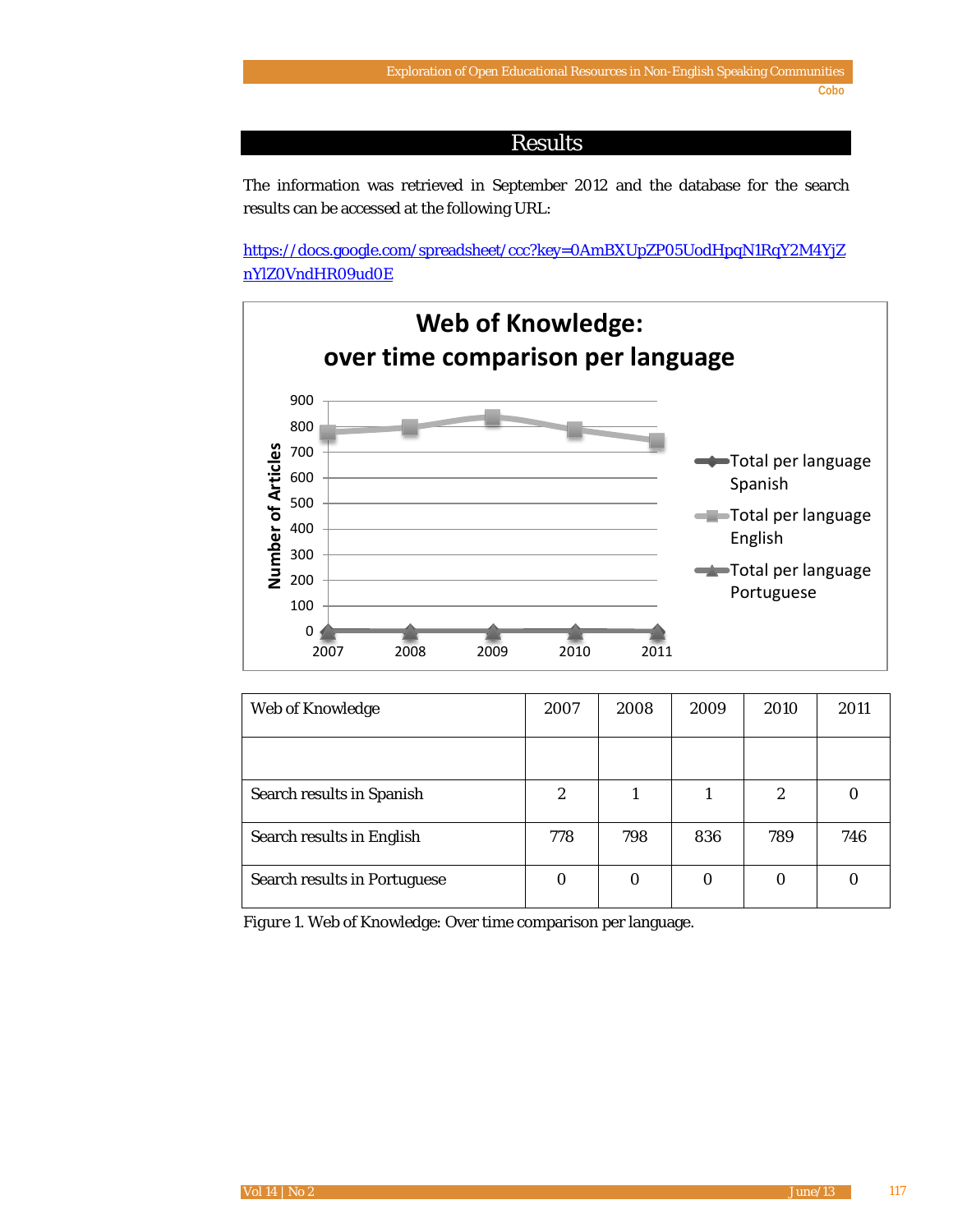## Results

The information was retrieved in September 2012 and the database for the search results can be accessed at the following URL:

[https://docs.google.com/spreadsheet/ccc?key=0AmBXUpZP05UodHpqN1RqY2M4YjZ](https://docs.google.com/spreadsheet/ccc?key=0AmBXUpZP05UodHpqN1RqY2M4YjZnYlZ0VndHR09ud0E) [nYlZ0VndHR09ud0E](https://docs.google.com/spreadsheet/ccc?key=0AmBXUpZP05UodHpqN1RqY2M4YjZnYlZ0VndHR09ud0E)



| Web of Knowledge                    | 2007             | 2008 | 2009 | 2010 | 2011 |
|-------------------------------------|------------------|------|------|------|------|
|                                     |                  |      |      |      |      |
| Search results in Spanish           | $\boldsymbol{2}$ |      |      | 2    |      |
| Search results in English           | 778              | 798  | 836  | 789  | 746  |
| <b>Search results in Portuguese</b> | 0                | 0    | 0    | 0    |      |

*Figure 1*. Web of Knowledge: Over time comparison per language*.*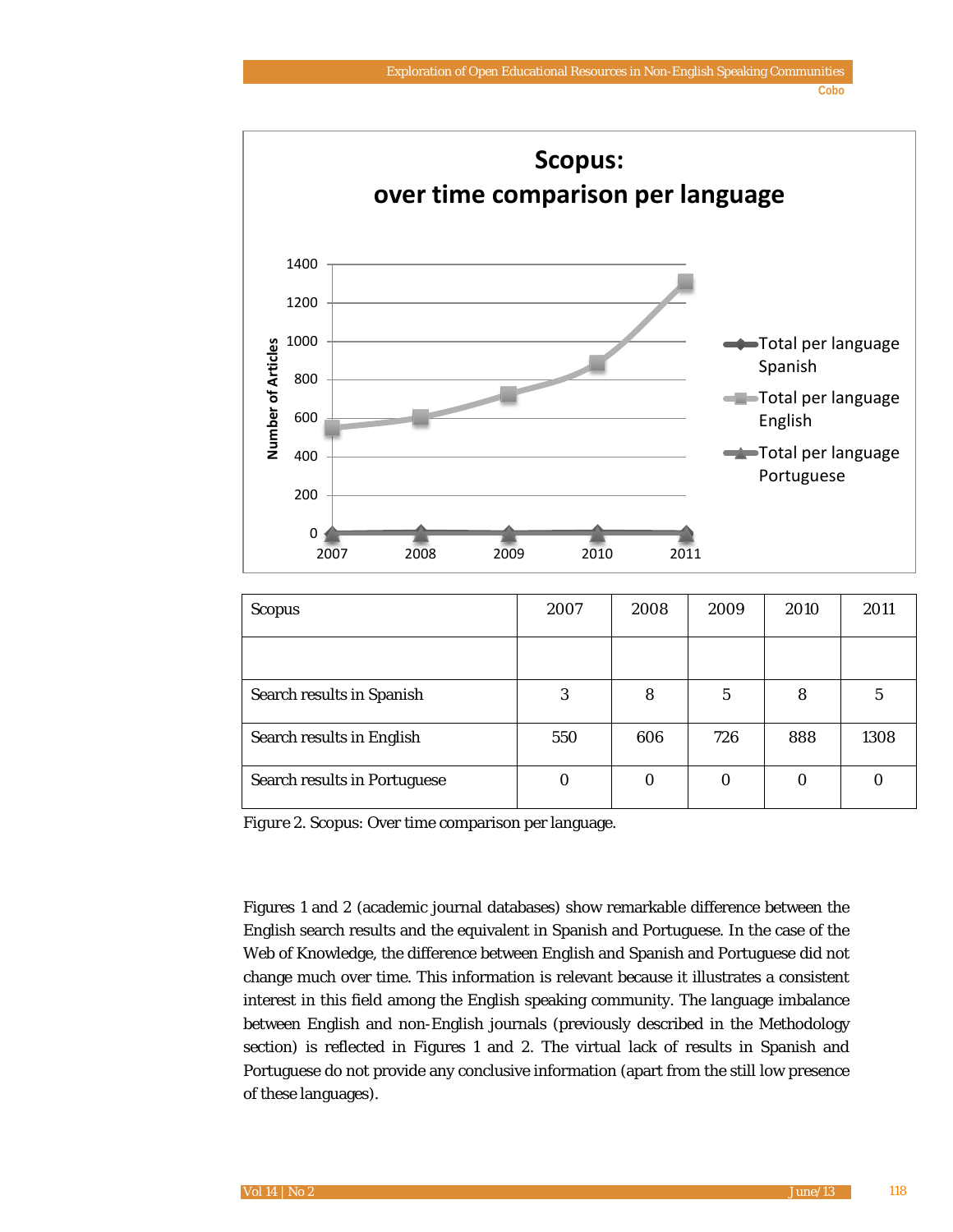**Cobo**



| <b>Scopus</b>                       | 2007 | 2008 | 2009 | 2010 | 2011 |
|-------------------------------------|------|------|------|------|------|
|                                     |      |      |      |      |      |
| Search results in Spanish           | 3    | 8    | 5    | 8    | 5    |
| Search results in English           | 550  | 606  | 726  | 888  | 1308 |
| <b>Search results in Portuguese</b> |      | 0    |      | 0    |      |

*Figure 2*. Scopus: Over time comparison per language*.*

Figures 1 and 2 (academic journal databases) show remarkable difference between the English search results and the equivalent in Spanish and Portuguese. In the case of the Web of Knowledge, the difference between English and Spanish and Portuguese did not change much over time. This information is relevant because it illustrates a consistent interest in this field among the English speaking community. The language imbalance between English and non-English journals (previously described in the Methodology section) is reflected in Figures 1 and 2. The virtual lack of results in Spanish and Portuguese do not provide any conclusive information (apart from the still low presence of these languages).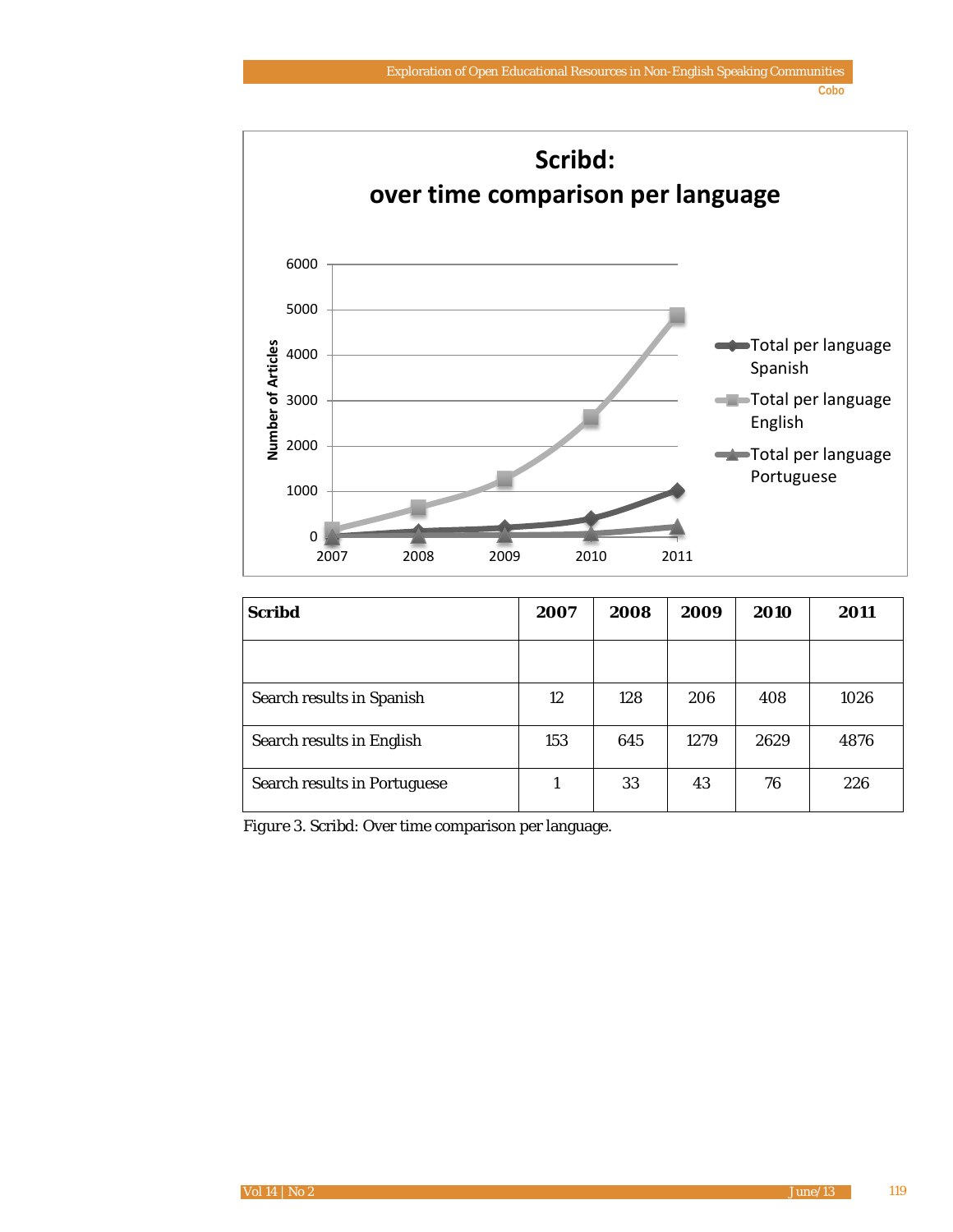**Cobo**



| <b>Scribd</b>                       | 2007 | 2008 | 2009 | 2010 | 2011 |
|-------------------------------------|------|------|------|------|------|
|                                     |      |      |      |      |      |
| Search results in Spanish           | 12   | 128  | 206  | 408  | 1026 |
| Search results in English           | 153  | 645  | 1279 | 2629 | 4876 |
| <b>Search results in Portuguese</b> |      | 33   | 43   | 76   | 226  |

*Figure 3*. Scribd: Over time comparison per language*.*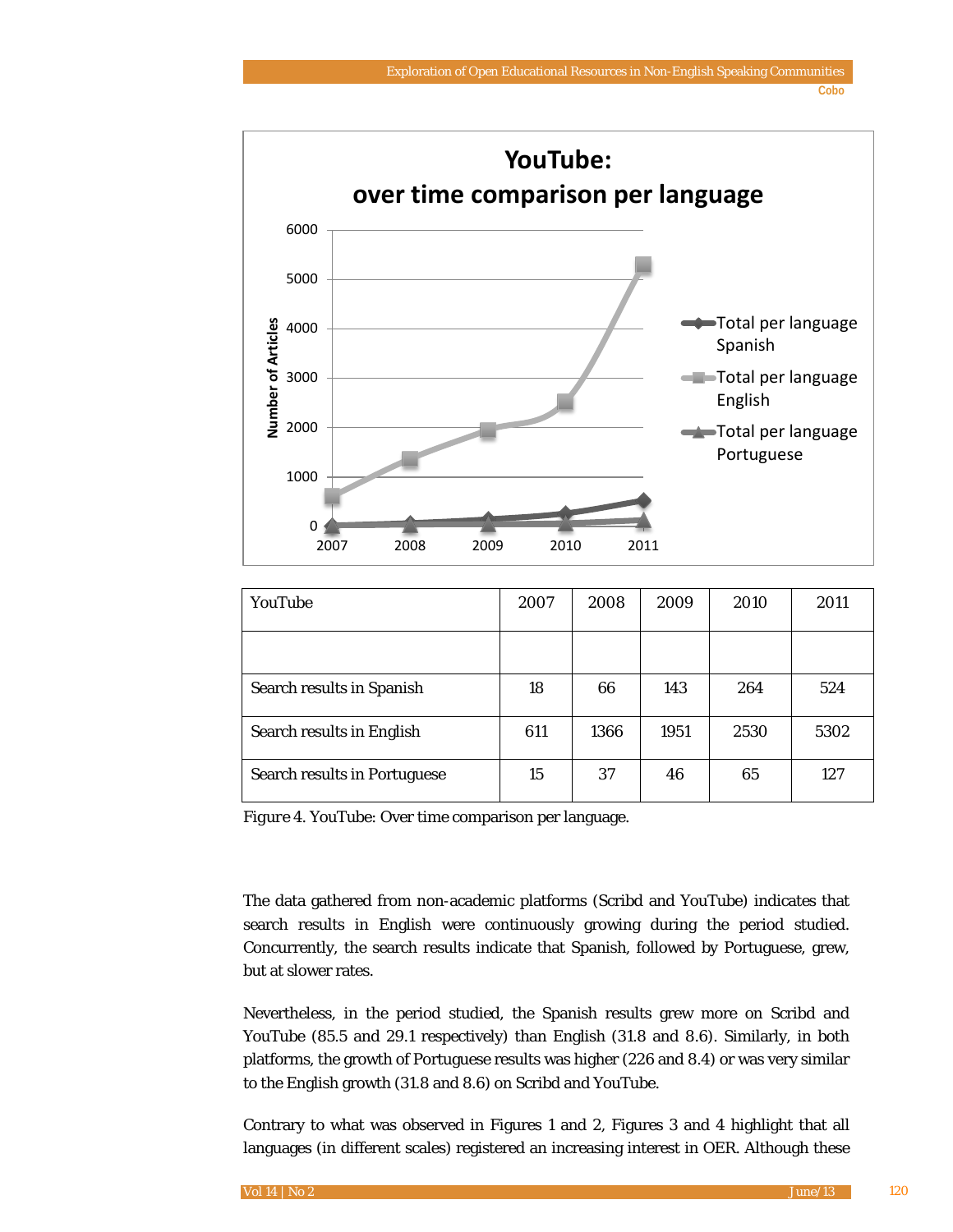**Cobo**



| YouTube                             | 2007 | 2008 | 2009 | 2010 | 2011 |
|-------------------------------------|------|------|------|------|------|
|                                     |      |      |      |      |      |
| Search results in Spanish           | 18   | 66   | 143  | 264  | 524  |
| Search results in English           | 611  | 1366 | 1951 | 2530 | 5302 |
| <b>Search results in Portuguese</b> | 15   | 37   | 46   | 65   | 127  |

*Figure 4*. YouTube: Over time comparison per language*.*

The data gathered from non-academic platforms (Scribd and YouTube) indicates that search results in English were continuously growing during the period studied. Concurrently, the search results indicate that Spanish, followed by Portuguese, grew, but at slower rates.

Nevertheless, in the period studied, the Spanish results grew more on Scribd and YouTube (85.5 and 29.1 respectively) than English (31.8 and 8.6). Similarly, in both platforms, the growth of Portuguese results was higher (226 and 8.4) or was very similar to the English growth (31.8 and 8.6) on Scribd and YouTube.

Contrary to what was observed in Figures 1 and 2, Figures 3 and 4 highlight that all languages (in different scales) registered an increasing interest in OER. Although these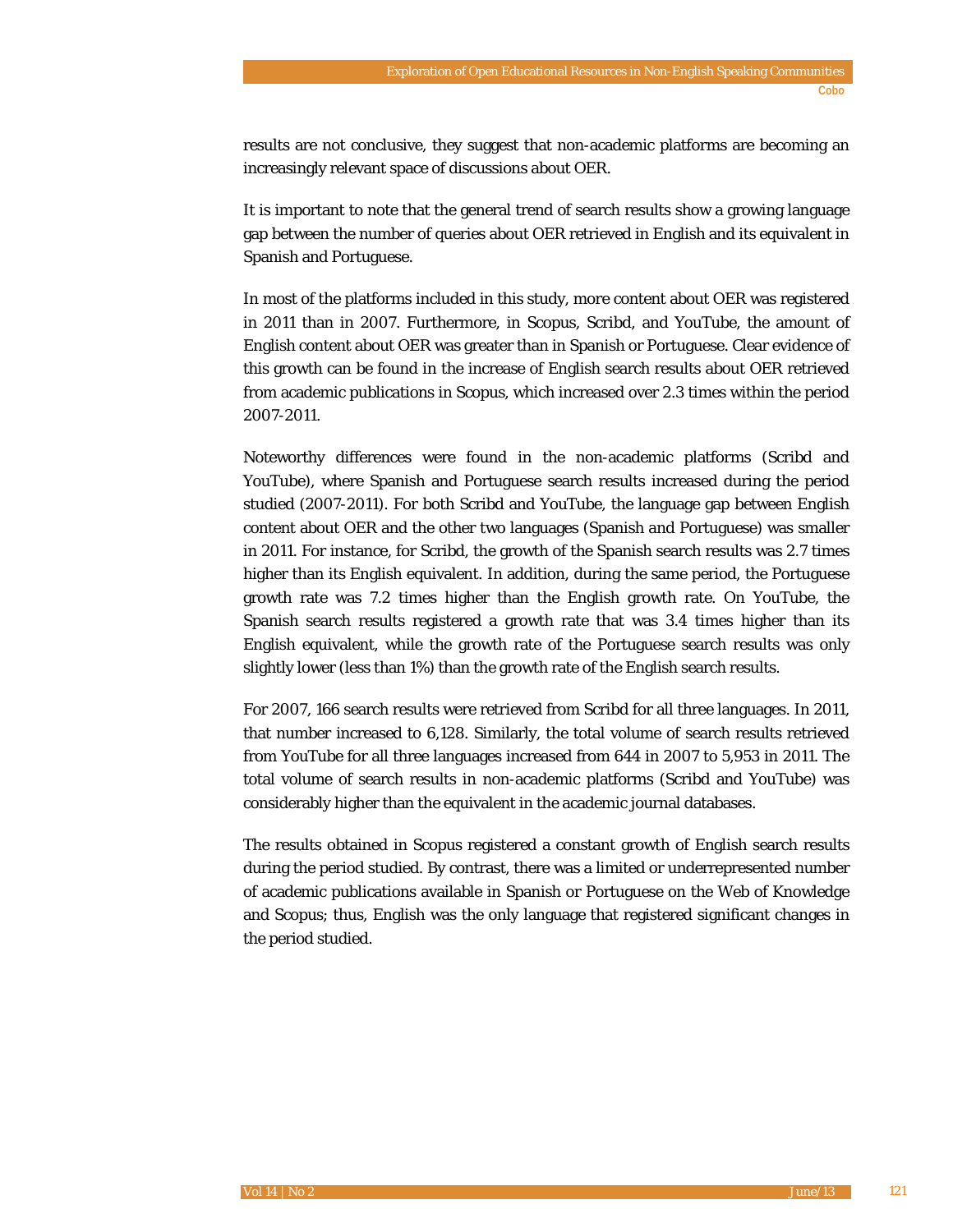results are not conclusive, they suggest that non-academic platforms are becoming an increasingly relevant space of discussions about OER.

It is important to note that the general trend of search results show a growing language gap between the number of queries about OER retrieved in English and its equivalent in Spanish and Portuguese.

In most of the platforms included in this study, more content about OER was registered in 2011 than in 2007. Furthermore, in Scopus, Scribd, and YouTube, the amount of English content about OER was greater than in Spanish or Portuguese. Clear evidence of this growth can be found in the increase of English search results about OER retrieved from academic publications in Scopus, which increased over 2.3 times within the period 2007-2011.

Noteworthy differences were found in the non-academic platforms (Scribd and YouTube), where Spanish and Portuguese search results increased during the period studied (2007-2011). For both Scribd and YouTube, the language gap between English content about OER and the other two languages (Spanish and Portuguese) was smaller in 2011. For instance, for Scribd, the growth of the Spanish search results was 2.7 times higher than its English equivalent. In addition, during the same period, the Portuguese growth rate was 7.2 times higher than the English growth rate. On YouTube, the Spanish search results registered a growth rate that was 3.4 times higher than its English equivalent, while the growth rate of the Portuguese search results was only slightly lower (less than 1%) than the growth rate of the English search results.

For 2007, 166 search results were retrieved from Scribd for all three languages. In 2011, that number increased to 6,128. Similarly, the total volume of search results retrieved from YouTube for all three languages increased from 644 in 2007 to 5,953 in 2011. The total volume of search results in non-academic platforms (Scribd and YouTube) was considerably higher than the equivalent in the academic journal databases.

The results obtained in Scopus registered a constant growth of English search results during the period studied. By contrast, there was a limited or underrepresented number of academic publications available in Spanish or Portuguese on the Web of Knowledge and Scopus; thus, English was the only language that registered significant changes in the period studied.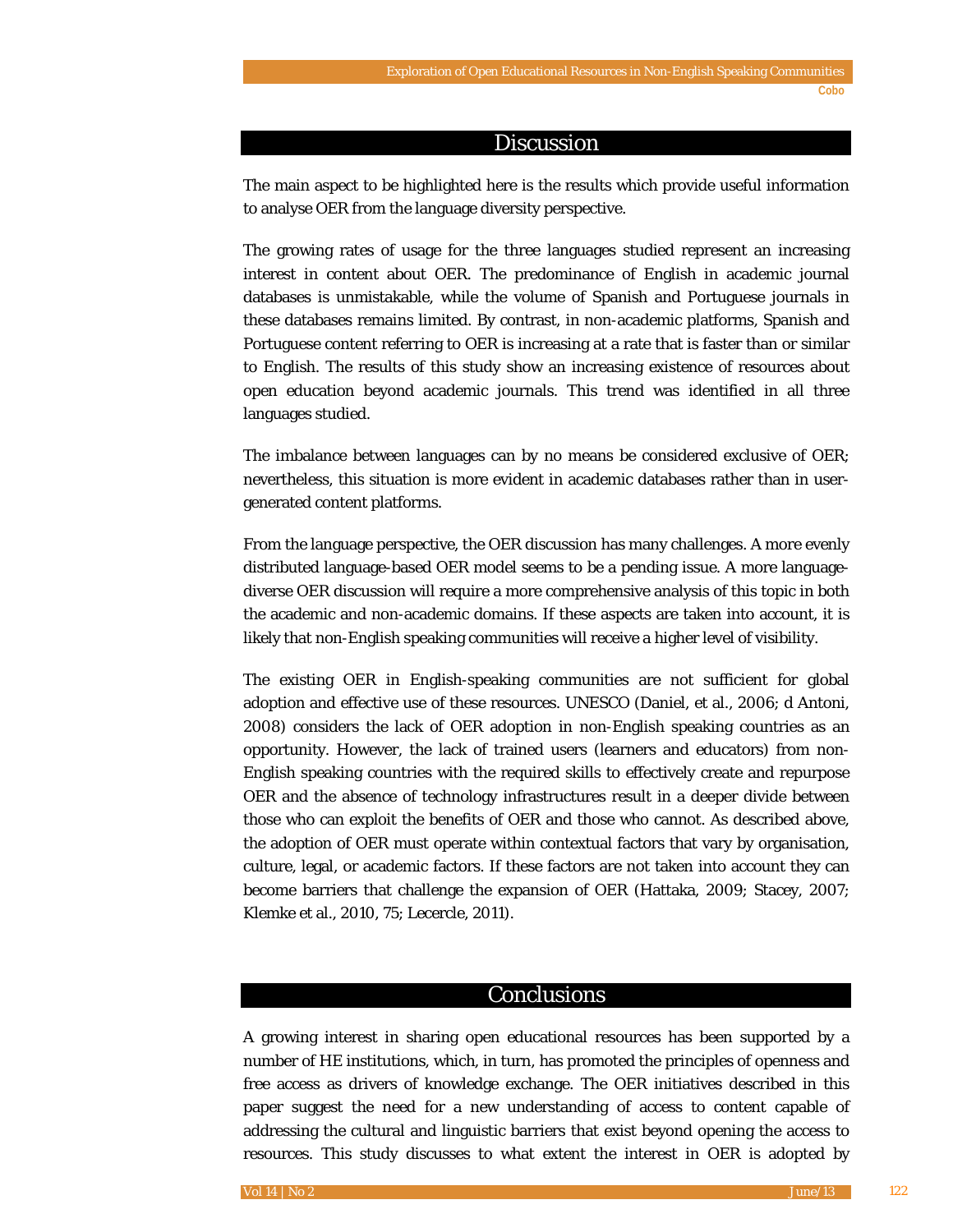#### Discussion

The main aspect to be highlighted here is the results which provide useful information to analyse OER from the language diversity perspective.

The growing rates of usage for the three languages studied represent an increasing interest in content about OER. The predominance of English in academic journal databases is unmistakable, while the volume of Spanish and Portuguese journals in these databases remains limited. By contrast, in non-academic platforms, Spanish and Portuguese content referring to OER is increasing at a rate that is faster than or similar to English. The results of this study show an increasing existence of resources about open education beyond academic journals. This trend was identified in all three languages studied.

The imbalance between languages can by no means be considered exclusive of OER; nevertheless, this situation is more evident in academic databases rather than in usergenerated content platforms.

From the language perspective, the OER discussion has many challenges. A more evenly distributed language-based OER model seems to be a pending issue. A more languagediverse OER discussion will require a more comprehensive analysis of this topic in both the academic and non-academic domains. If these aspects are taken into account, it is likely that non-English speaking communities will receive a higher level of visibility.

The existing OER in English-speaking communities are not sufficient for global adoption and effective use of these resources. UNESCO (Daniel, et al., 2006; d Antoni, 2008) considers the lack of OER adoption in non-English speaking countries as an opportunity. However, the lack of trained users (learners and educators) from non-English speaking countries with the required skills to effectively create and repurpose OER and the absence of technology infrastructures result in a deeper divide between those who can exploit the benefits of OER and those who cannot. As described above, the adoption of OER must operate within contextual factors that vary by organisation, culture, legal, or academic factors. If these factors are not taken into account they can become barriers that challenge the expansion of OER (Hattaka, 2009; Stacey, 2007; Klemke et al., 2010, 75; Lecercle, 2011).

#### **Conclusions**

A growing interest in sharing open educational resources has been supported by a number of HE institutions, which, in turn, has promoted the principles of openness and free access as drivers of knowledge exchange. The OER initiatives described in this paper suggest the need for a new understanding of access to content capable of addressing the cultural and linguistic barriers that exist beyond opening the access to resources. This study discusses to what extent the interest in OER is adopted by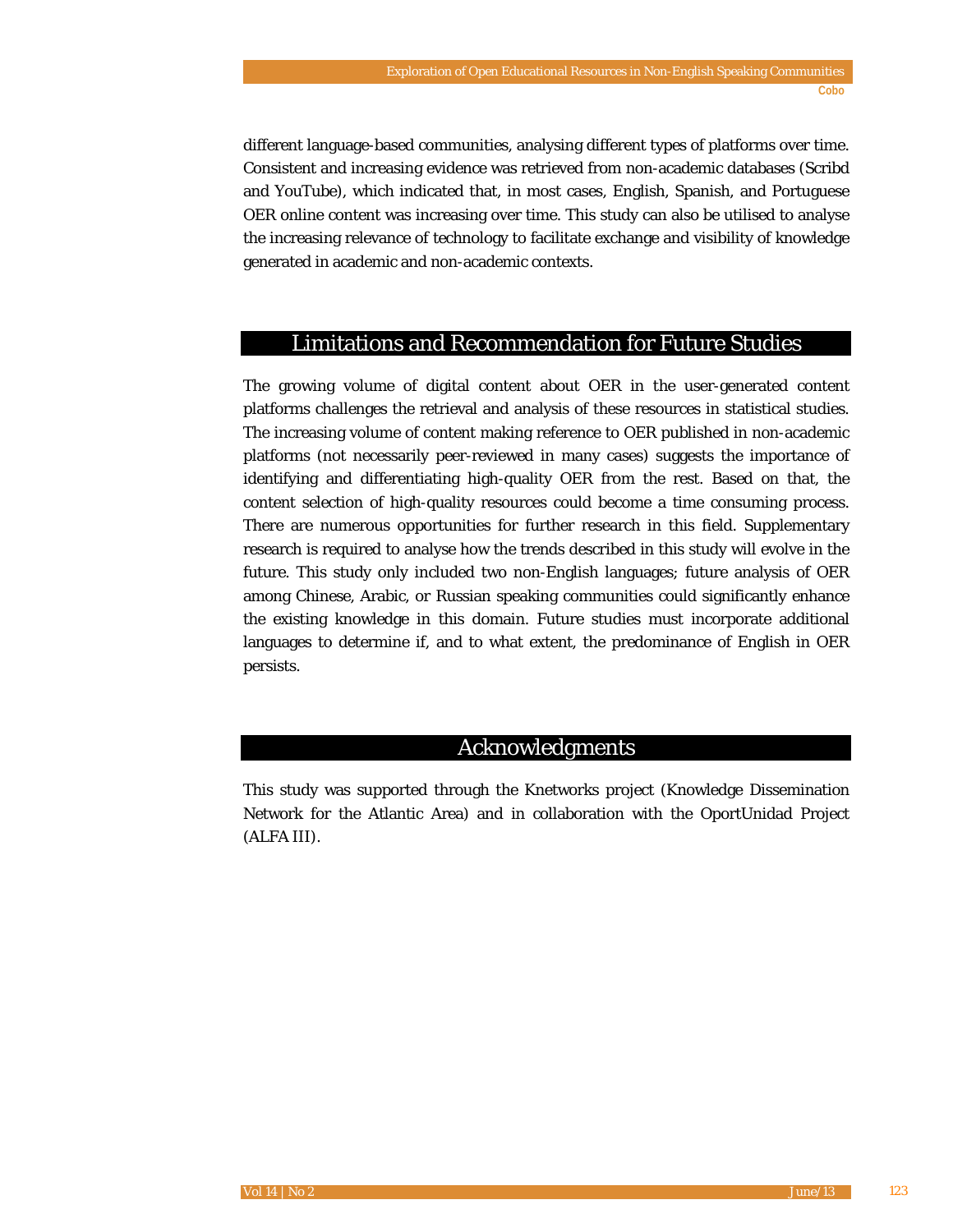different language-based communities, analysing different types of platforms over time. Consistent and increasing evidence was retrieved from non-academic databases (Scribd and YouTube), which indicated that, in most cases, English, Spanish, and Portuguese OER online content was increasing over time. This study can also be utilised to analyse the increasing relevance of technology to facilitate exchange and visibility of knowledge generated in academic and non-academic contexts.

#### Limitations and Recommendation for Future Studies

The growing volume of digital content about OER in the user-generated content platforms challenges the retrieval and analysis of these resources in statistical studies. The increasing volume of content making reference to OER published in non-academic platforms (not necessarily peer-reviewed in many cases) suggests the importance of identifying and differentiating high-quality OER from the rest. Based on that, the content selection of high-quality resources could become a time consuming process. There are numerous opportunities for further research in this field. Supplementary research is required to analyse how the trends described in this study will evolve in the future. This study only included two non-English languages; future analysis of OER among Chinese, Arabic, or Russian speaking communities could significantly enhance the existing knowledge in this domain. Future studies must incorporate additional languages to determine if, and to what extent, the predominance of English in OER persists.

#### Acknowledgments

This study was supported through the Knetworks project (Knowledge Dissemination Network for the Atlantic Area) and in collaboration with the OportUnidad Project (ALFA III).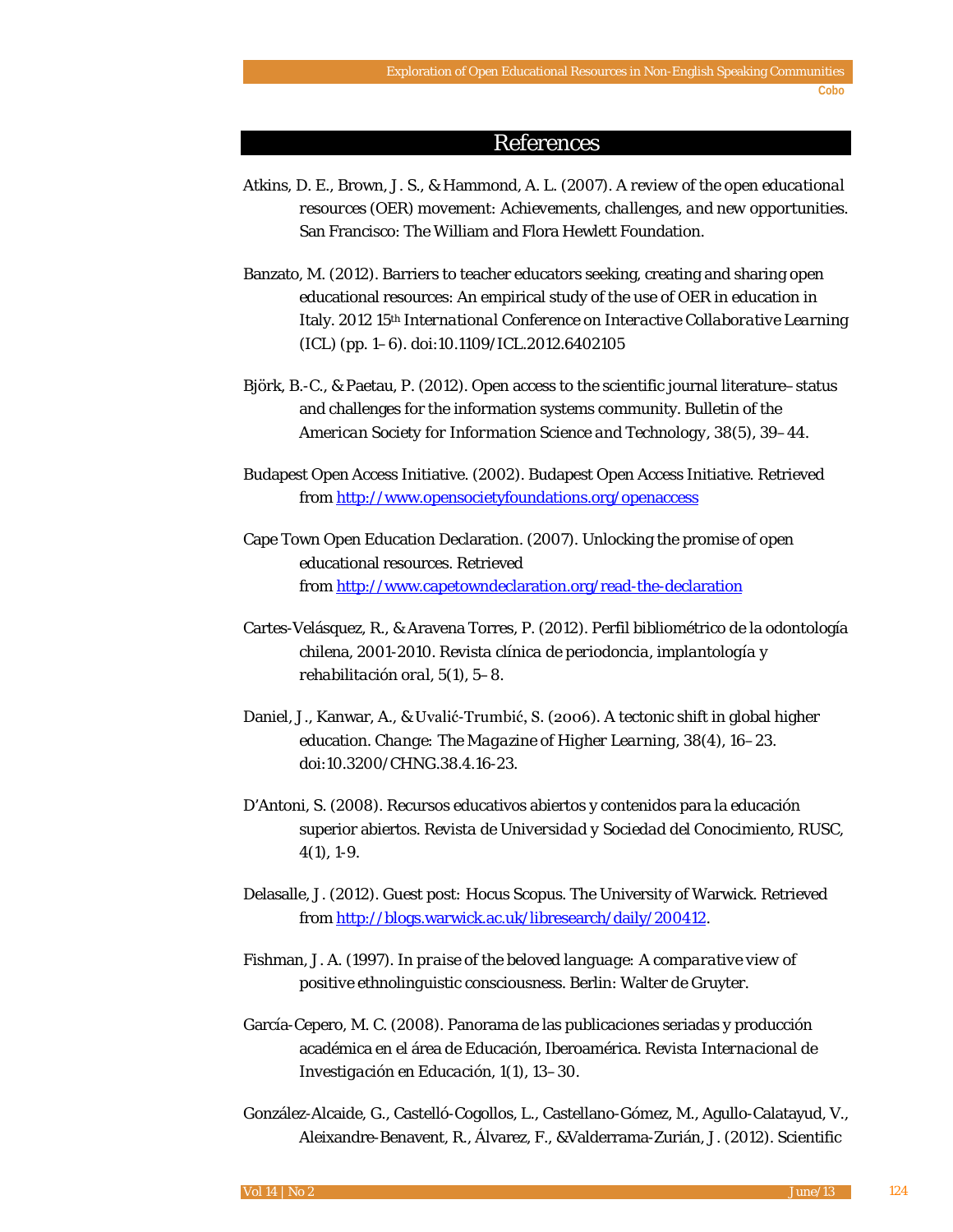#### References

- Atkins, D. E., Brown, J. S., & Hammond, A. L. (2007). *A review of the open educational resources (OER) movement: Achievements, challenges, and new opportunities*. San Francisco: The William and Flora Hewlett Foundation.
- Banzato, M. (2012). Barriers to teacher educators seeking, creating and sharing open educational resources: An empirical study of the use of OER in education in Italy. *2012 15th International Conference on Interactive Collaborative Learning* (ICL) (pp. 1–6). doi:10.1109/ICL.2012.6402105
- Björk, B.-C., & Paetau, P. (2012). Open access to the scientific journal literature–status and challenges for the information systems community. *Bulletin of the American Society for Information Science and Technology, 38*(5), 39–44.
- Budapest Open Access Initiative. (2002). Budapest Open Access Initiative. Retrieved from <http://www.opensocietyfoundations.org/openaccess>
- Cape Town Open Education Declaration. (2007). Unlocking the promise of open educational resources. Retrieved from <http://www.capetowndeclaration.org/read-the-declaration>
- Cartes-Velásquez, R., & Aravena Torres, P. (2012). Perfil bibliométrico de la odontología chilena, 2001-2010. *Revista clínica de periodoncia, implantología y rehabilitación oral*, *5*(1), 5–8.
- Daniel, J., Kanwar, A., & Uvalić-Trumbić, S. (2006). A tectonic shift in global higher education. *Change: The Magazine of Higher Learning, 38*(4), 16–23. doi:10.3200/CHNG.38.4.16-23.
- D'Antoni, S. (2008). Recursos educativos abiertos y contenidos para la educación superior abiertos. *Revista de Universidad y Sociedad del Conocimiento, RUSC, 4*(1), 1-9.
- Delasalle, J. (2012). *Guest post: Hocus Scopus*. The University of Warwick. Retrieved from [http://blogs.warwick.ac.uk/libresearch/daily/200412.](http://blogs.warwick.ac.uk/libresearch/daily/200412)
- Fishman, J. A. (1997). *In praise of the beloved language: A comparative view of positive ethnolinguistic consciousness*. Berlin: Walter de Gruyter.
- García-Cepero, M. C. (2008). Panorama de las publicaciones seriadas y producción académica en el área de Educación, Iberoamérica. *Revista Internacional de Investigación en Educación, 1*(1), 13–30.
- González-Alcaide, G., Castelló-Cogollos, L., Castellano-Gómez, M., Agullo-Calatayud, V., Aleixandre-Benavent, R., Álvarez, F., &Valderrama-Zurián, J. (2012). Scientific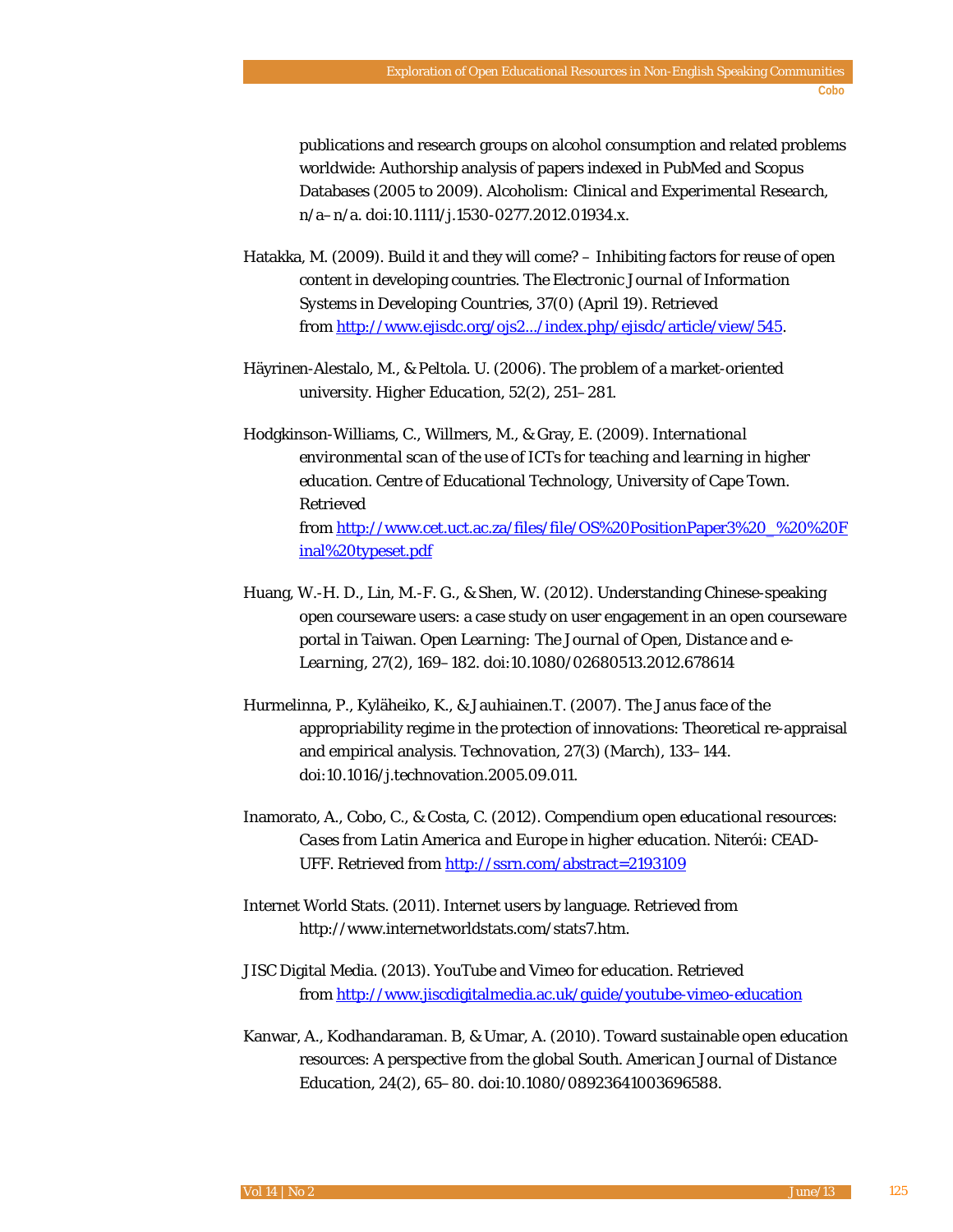publications and research groups on alcohol consumption and related problems worldwide: Authorship analysis of papers indexed in PubMed and Scopus Databases (2005 to 2009). *Alcoholism: Clinical and Experimental Research*, n/a–n/a. doi:10.1111/j.1530-0277.2012.01934.x.

- Hatakka, M. (2009). Build it and they will come? Inhibiting factors for reuse of open content in developing countries. *The Electronic Journal of Information Systems in Developing Countries,* 37(0) (April 19). Retrieved from [http://www.ejisdc.org/ojs2.../index.php/ejisdc/article/view/545.](http://www.ejisdc.org/ojs2.../index.php/ejisdc/article/view/545)
- Häyrinen-Alestalo, M., & Peltola. U. (2006). The problem of a market-oriented university. *Higher Education, 52*(2), 251–281.
- Hodgkinson-Williams, C., Willmers, M., & Gray, E. (2009). *International environmental scan of the use of ICTs for teaching and learning in higher education*. Centre of Educational Technology, University of Cape Town. Retrieved from [http://www.cet.uct.ac.za/files/file/OS%20PositionPaper3%20\\_%20%20F](http://www.cet.uct.ac.za/files/file/OS%20PositionPaper3%20_%20%20Final%20typeset.pdf) [inal%20typeset.pdf](http://www.cet.uct.ac.za/files/file/OS%20PositionPaper3%20_%20%20Final%20typeset.pdf)
- Huang, W.-H. D., Lin, M.-F. G., & Shen, W. (2012). Understanding Chinese-speaking open courseware users: a case study on user engagement in an open courseware portal in Taiwan. *Open Learning: The Journal of Open, Distance and e-Learning*, *27*(2), 169–182. doi:10.1080/02680513.2012.678614
- Hurmelinna, P., Kyläheiko, K., & Jauhiainen.T. (2007). The Janus face of the appropriability regime in the protection of innovations: Theoretical re-appraisal and empirical analysis. *Technovation, 27*(3) (March), 133–144. doi:10.1016/j.technovation.2005.09.011.
- Inamorato, A., Cobo, C., & Costa, C. (2012). *Compendium open educational resources: Cases from Latin America and Europe in higher education*. Niterói: CEADUFF. Retrieved from <http://ssrn.com/abstract=2193109>
- Internet World Stats. (2011). Internet users by language. Retrieved from http://www.internetworldstats.com/stats7.htm.
- JISC Digital Media. (2013). YouTube and Vimeo for education. Retrieved from<http://www.jiscdigitalmedia.ac.uk/guide/youtube-vimeo-education>
- Kanwar, A., Kodhandaraman. B, & Umar, A. (2010). Toward sustainable open education resources: A perspective from the global South. *American Journal of Distance Education, 24*(2), 65–80. doi:10.1080/08923641003696588.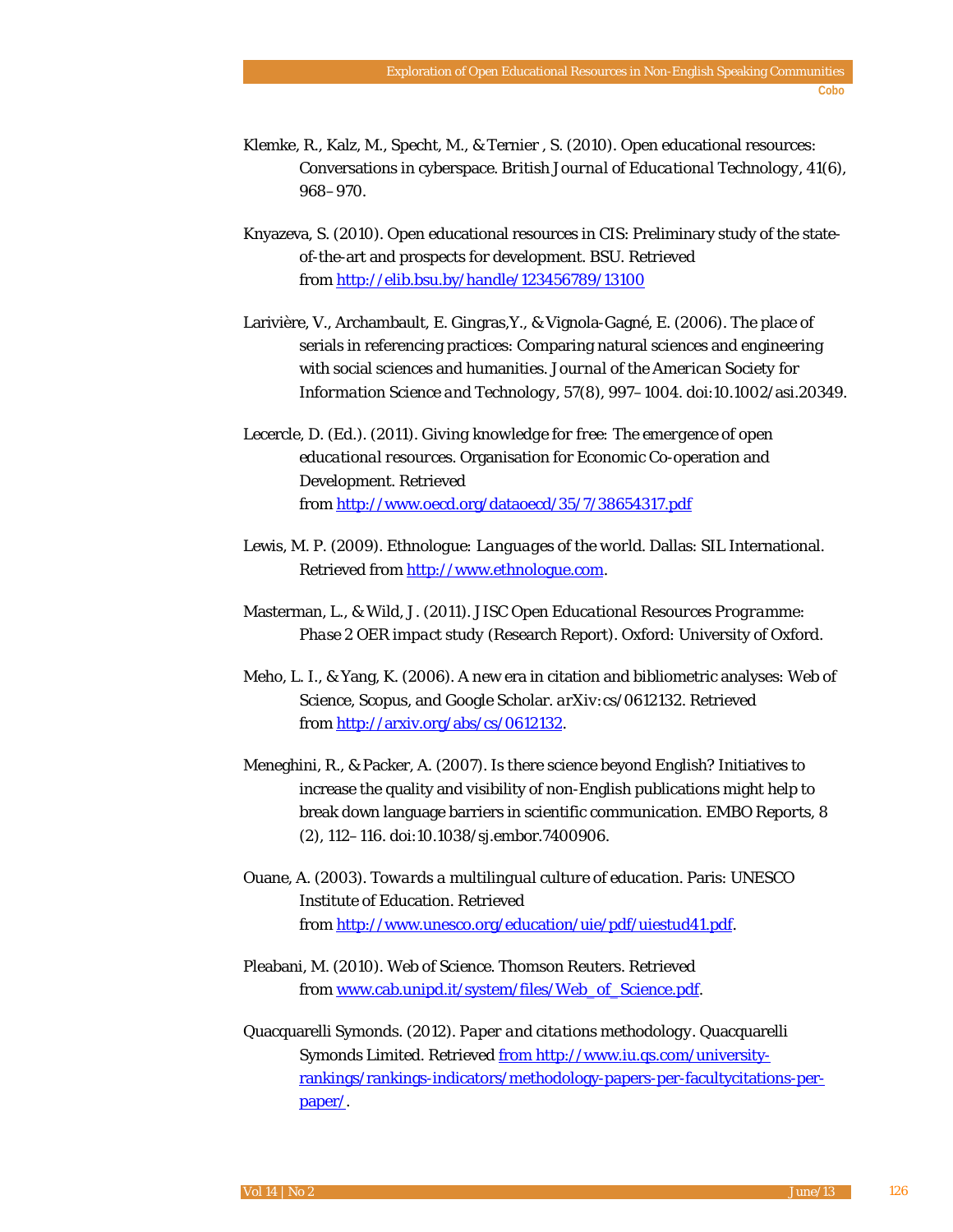- Klemke, R., Kalz, M., Specht, M., & Ternier , S. (2010). Open educational resources: Conversations in cyberspace. *British Journal of Educational Technology, 41*(6), 968–970.
- Knyazeva, S. (2010). Open educational resources in CIS: Preliminary study of the stateof-the-art and prospects for development. *BSU.* Retrieved from<http://elib.bsu.by/handle/123456789/13100>
- Larivière, V., Archambault, E. Gingras,Y., & Vignola-Gagné, E. (2006). The place of serials in referencing practices: Comparing natural sciences and engineering with social sciences and humanities. *Journal of the American Society for Information Science and Technology, 57*(8), 997–1004. doi:10.1002/asi.20349.
- Lecercle, D. (Ed.). (2011). *Giving knowledge for free: The emergence of open educational resources*. Organisation for Economic Co-operation and Development. Retrieved from<http://www.oecd.org/dataoecd/35/7/38654317.pdf>
- Lewis, M. P. (2009). *Ethnologue: Languages of the world*. Dallas: SIL International. Retrieved from [http://www.ethnologue.com.](http://www.ethnologue.com/)
- Masterman, L., & Wild, J. (2011). J*ISC Open Educational Resources Programme: Phase 2 OER impact study* (Research Report). Oxford: University of Oxford.
- Meho, L. I., & Yang, K. (2006). A new era in citation and bibliometric analyses: Web of Science, Scopus, and Google Scholar. *arXiv:cs/0612132*. Retrieved from [http://arxiv.org/abs/cs/0612132.](http://arxiv.org/abs/cs/0612132)
- Meneghini, R., & Packer, A. (2007). Is there science beyond English? Initiatives to increase the quality and visibility of non-English publications might help to break down language barriers in scientific communication. *EMBO Reports, 8* (2), 112–116. doi:10.1038/sj.embor.7400906.
- Ouane, A. (2003). *Towards a multilingual culture of education*. Paris: UNESCO Institute of Education. Retrieved from [http://www.unesco.org/education/uie/pdf/uiestud41.pdf.](http://www.unesco.org/education/uie/pdf/uiestud41.pdf)
- Pleabani, M. (2010). *Web of Science*. Thomson Reuters. Retrieved from www.cab.unipd.it/system/files/Web\_of\_Science.pdf.
- Quacquarelli Symonds. (2012). *Paper and citations methodology*. Quacquarelli Symonds Limited. Retrieved from http://www.iu.qs.com/universityrankings/rankings-indicators/methodology-papers-per-facultycitations-perpaper/.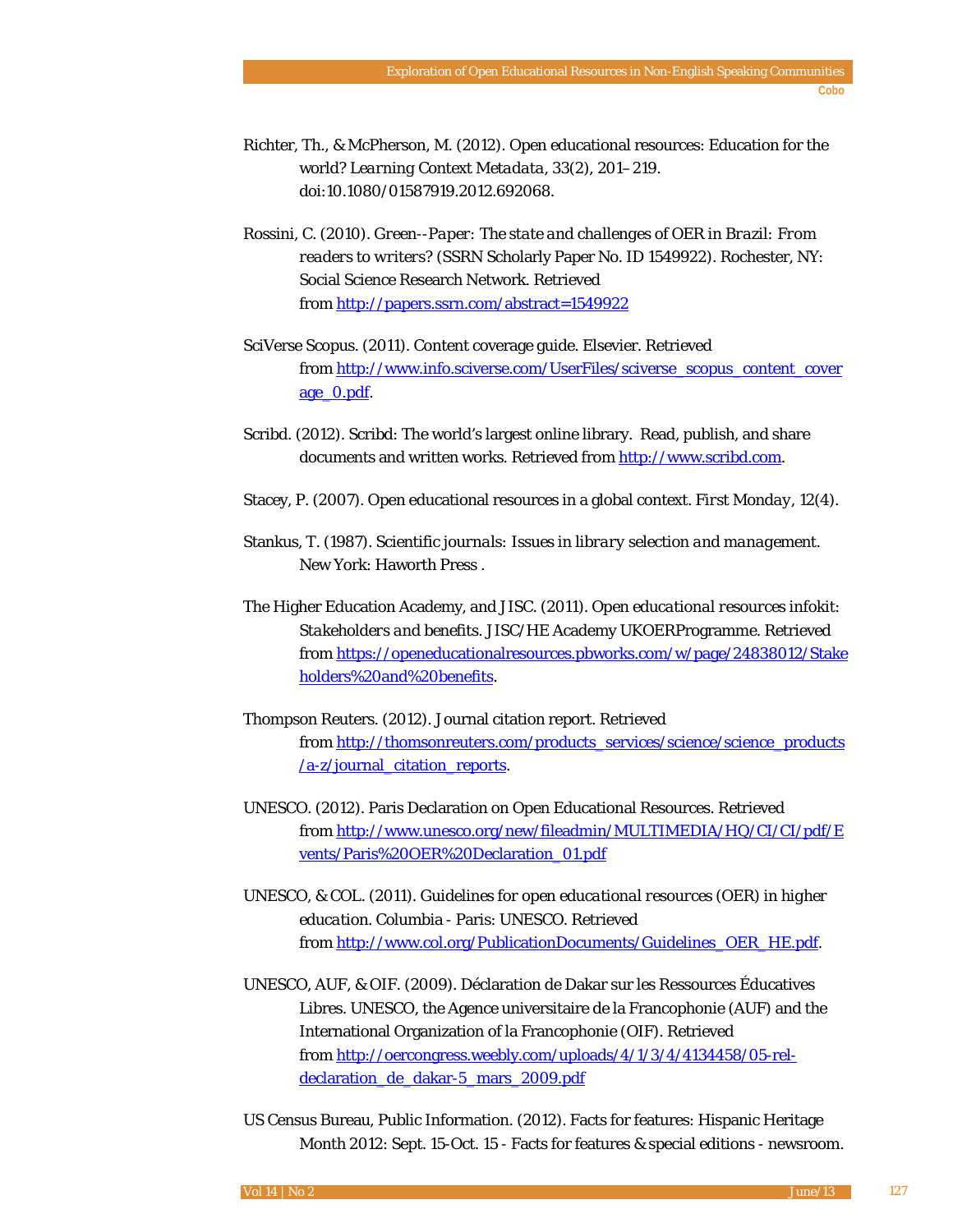- Richter, Th., & McPherson, M. (2012). Open educational resources: Education for the world? *Learning Context Metadata, 33*(2), 201–219. doi:10.1080/01587919.2012.692068.
- Rossini, C. (2010). *Green--Paper: The state and challenges of OER in Brazil: From readers to writers?* (SSRN Scholarly Paper No. ID 1549922). Rochester, NY: Social Science Research Network. Retrieved from<http://papers.ssrn.com/abstract=1549922>
- SciVerse Scopus. (2011). Content coverage guide. Elsevier. Retrieved from [http://www.info.sciverse.com/UserFiles/sciverse\\_scopus\\_content\\_cover](http://www.info.sciverse.com/UserFiles/sciverse_scopus_content_coverage_0.pdf) [age\\_0.pdf.](http://www.info.sciverse.com/UserFiles/sciverse_scopus_content_coverage_0.pdf)
- Scribd. (2012). Scribd: The world's largest online library. Read, publish, and share documents and written works. Retrieved fro[m http://www.scribd.com.](http://www.scribd.com/)
- Stacey, P. (2007). Open educational resources in a global context. *First Monday, 12*(4).
- Stankus, T. (1987). *Scientific journals: Issues in library selection and management*. New York: Haworth Press .
- The Higher Education Academy, and JISC. (2011). *Open educational resources infokit: Stakeholders and benefits*. JISC/HE Academy UKOERProgramme. Retrieved from [https://openeducationalresources.pbworks.com/w/page/24838012/Stake](https://openeducationalresources.pbworks.com/w/page/24838012/Stakeholders%20and%20benefits) [holders%20and%20benefits.](https://openeducationalresources.pbworks.com/w/page/24838012/Stakeholders%20and%20benefits)
- Thompson Reuters. (2012). Journal citation report*.* Retrieved from [http://thomsonreuters.com/products\\_services/science/science\\_products](http://thomsonreuters.com/products_services/science/science_products/a-z/journal_citation_reports) [/a-z/journal\\_citation\\_reports.](http://thomsonreuters.com/products_services/science/science_products/a-z/journal_citation_reports)
- UNESCO. (2012). Paris Declaration on Open Educational Resources. Retrieved from [http://www.unesco.org/new/fileadmin/MULTIMEDIA/HQ/CI/CI/pdf/E](http://www.unesco.org/new/fileadmin/MULTIMEDIA/HQ/CI/CI/pdf/Events/Paris%20OER%20Declaration_01.pdf) [vents/Paris%20OER%20Declaration\\_01.pdf](http://www.unesco.org/new/fileadmin/MULTIMEDIA/HQ/CI/CI/pdf/Events/Paris%20OER%20Declaration_01.pdf)
- UNESCO, & COL. (2011). *Guidelines for open educational resources (OER) in higher education.* Columbia - Paris: UNESCO. Retrieved from [http://www.col.org/PublicationDocuments/Guidelines\\_OER\\_HE.pdf.](http://www.col.org/PublicationDocuments/Guidelines_OER_HE.pdf)
- UNESCO, AUF, & OIF. (2009). Déclaration de Dakar sur les Ressources Éducatives Libres. UNESCO, the Agence universitaire de la Francophonie (AUF) and the International Organization of la Francophonie (OIF). Retrieved from [http://oercongress.weebly.com/uploads/4/1/3/4/4134458/05-rel](http://oercongress.weebly.com/uploads/4/1/3/4/4134458/05-rel-declaration_de_dakar-5_mars_2009.pdf)declaration de dakar-5 mars 2009.pdf
- US Census Bureau, Public Information. (2012). Facts for features: Hispanic Heritage Month 2012: Sept. 15-Oct. 15 - Facts for features & special editions - newsroom.